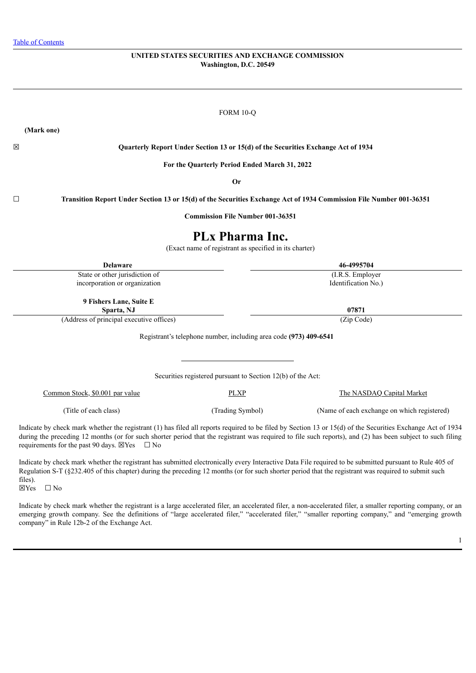## **UNITED STATES SECURITIES AND EXCHANGE COMMISSION Washington, D.C. 20549**

|        |                                                                 | FORM 10-Q                                                                                                                        |                                                                                                                                                                                                                                                                                                                          |
|--------|-----------------------------------------------------------------|----------------------------------------------------------------------------------------------------------------------------------|--------------------------------------------------------------------------------------------------------------------------------------------------------------------------------------------------------------------------------------------------------------------------------------------------------------------------|
|        | (Mark one)                                                      |                                                                                                                                  |                                                                                                                                                                                                                                                                                                                          |
| 図      |                                                                 | Quarterly Report Under Section 13 or 15(d) of the Securities Exchange Act of 1934                                                |                                                                                                                                                                                                                                                                                                                          |
|        |                                                                 | For the Quarterly Period Ended March 31, 2022                                                                                    |                                                                                                                                                                                                                                                                                                                          |
|        |                                                                 | <b>Or</b>                                                                                                                        |                                                                                                                                                                                                                                                                                                                          |
| $\Box$ |                                                                 |                                                                                                                                  | Transition Report Under Section 13 or 15(d) of the Securities Exchange Act of 1934 Commission File Number 001-36351                                                                                                                                                                                                      |
|        |                                                                 | <b>Commission File Number 001-36351</b>                                                                                          |                                                                                                                                                                                                                                                                                                                          |
|        |                                                                 | <b>PLx Pharma Inc.</b><br>(Exact name of registrant as specified in its charter)                                                 |                                                                                                                                                                                                                                                                                                                          |
|        | <b>Delaware</b>                                                 |                                                                                                                                  | 46-4995704                                                                                                                                                                                                                                                                                                               |
|        | State or other jurisdiction of<br>incorporation or organization |                                                                                                                                  | (I.R.S. Employer<br>Identification No.)                                                                                                                                                                                                                                                                                  |
|        | 9 Fishers Lane, Suite E<br>Sparta, NJ                           |                                                                                                                                  | 07871                                                                                                                                                                                                                                                                                                                    |
|        | (Address of principal executive offices)                        |                                                                                                                                  | (Zip Code)                                                                                                                                                                                                                                                                                                               |
|        |                                                                 | Registrant's telephone number, including area code (973) 409-6541<br>Securities registered pursuant to Section 12(b) of the Act: |                                                                                                                                                                                                                                                                                                                          |
|        | Common Stock, \$0.001 par value                                 | <b>PLXP</b>                                                                                                                      | The NASDAQ Capital Market                                                                                                                                                                                                                                                                                                |
|        | (Title of each class)                                           | (Trading Symbol)                                                                                                                 | (Name of each exchange on which registered)                                                                                                                                                                                                                                                                              |
|        | requirements for the past 90 days. $\boxtimes$ Yes $\Box$ No    |                                                                                                                                  | Indicate by check mark whether the registrant (1) has filed all reports required to be filed by Section 13 or 15(d) of the Securities Exchange Act of 1934<br>during the preceding 12 months (or for such shorter period that the registrant was required to file such reports), and (2) has been subject to such filing |

Indicate by check mark whether the registrant has submitted electronically every Interactive Data File required to be submitted pursuant to Rule 405 of Regulation S-T (§232.405 of this chapter) during the preceding 12 months (or for such shorter period that the registrant was required to submit such files).  $\boxtimes$ Yes  $\Box$  No

Indicate by check mark whether the registrant is a large accelerated filer, an accelerated filer, a non-accelerated filer, a smaller reporting company, or an emerging growth company. See the definitions of "large accelerated filer," "accelerated filer," "smaller reporting company," and "emerging growth company" in Rule 12b-2 of the Exchange Act.

1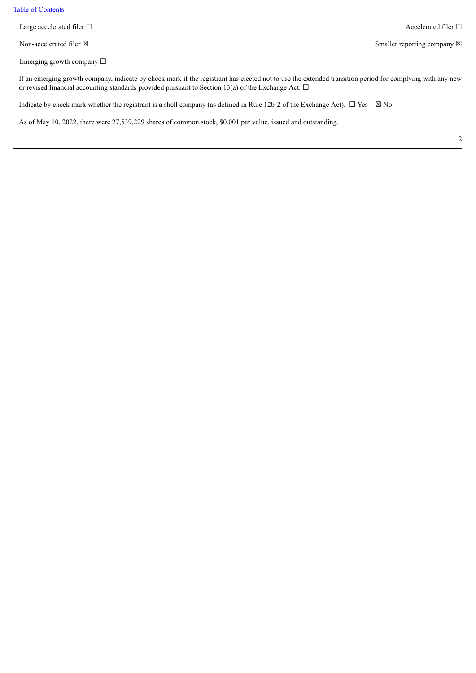Table of [Contents](#page-2-0)

Large accelerated filer □ Accelerated filer □ Accelerated filer □

Emerging growth company  $\Box$ 

If an emerging growth company, indicate by check mark if the registrant has elected not to use the extended transition period for complying with any new or revised financial accounting standards provided pursuant to Section 13(a) of the Exchange Act.  $\Box$ 

Indicate by check mark whether the registrant is a shell company (as defined in Rule 12b-2 of the Exchange Act).  $\Box$  Yes  $\boxtimes$  No

As of May 10, 2022, there were 27,539,229 shares of common stock, \$0.001 par value, issued and outstanding.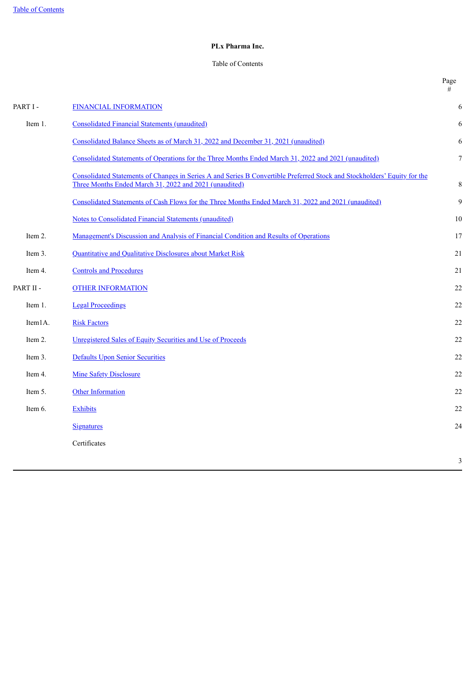# **PLx Pharma Inc.**

## Table of Contents

<span id="page-2-0"></span>

|           |                                                                                                                                                                                    | Page<br>#      |
|-----------|------------------------------------------------------------------------------------------------------------------------------------------------------------------------------------|----------------|
| PART I-   | <b>FINANCIAL INFORMATION</b>                                                                                                                                                       | 6              |
| Item 1.   | <b>Consolidated Financial Statements (unaudited)</b>                                                                                                                               | 6              |
|           | Consolidated Balance Sheets as of March 31, 2022 and December 31, 2021 (unaudited)                                                                                                 | 6              |
|           | Consolidated Statements of Operations for the Three Months Ended March 31, 2022 and 2021 (unaudited)                                                                               | $\overline{7}$ |
|           | Consolidated Statements of Changes in Series A and Series B Convertible Preferred Stock and Stockholders' Equity for the<br>Three Months Ended March 31, 2022 and 2021 (unaudited) | 8              |
|           | Consolidated Statements of Cash Flows for the Three Months Ended March 31, 2022 and 2021 (unaudited)                                                                               | 9              |
|           | <b>Notes to Consolidated Financial Statements (unaudited)</b>                                                                                                                      | 10             |
| Item 2.   | Management's Discussion and Analysis of Financial Condition and Results of Operations                                                                                              | 17             |
| Item 3.   | Quantitative and Qualitative Disclosures about Market Risk                                                                                                                         | 21             |
| Item 4.   | <b>Controls and Procedures</b>                                                                                                                                                     | 21             |
| PART II - | <b>OTHER INFORMATION</b>                                                                                                                                                           | 22             |
| Item 1.   | <b>Legal Proceedings</b>                                                                                                                                                           | 22             |
| Item1A.   | <b>Risk Factors</b>                                                                                                                                                                | 22             |
| Item 2.   | Unregistered Sales of Equity Securities and Use of Proceeds                                                                                                                        | 22             |
| Item 3.   | <b>Defaults Upon Senior Securities</b>                                                                                                                                             | 22             |
| Item 4.   | <b>Mine Safety Disclosure</b>                                                                                                                                                      | 22             |
| Item 5.   | <b>Other Information</b>                                                                                                                                                           | 22             |
| Item 6.   | <b>Exhibits</b>                                                                                                                                                                    | 22             |
|           | <b>Signatures</b>                                                                                                                                                                  | 24             |
|           | Certificates                                                                                                                                                                       |                |
|           |                                                                                                                                                                                    | 3              |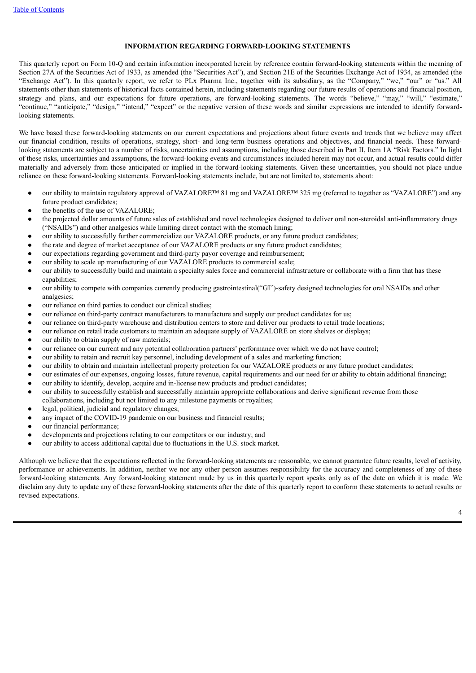## **INFORMATION REGARDING FORWARD-LOOKING STATEMENTS**

This quarterly report on Form 10-Q and certain information incorporated herein by reference contain forward-looking statements within the meaning of Section 27A of the Securities Act of 1933, as amended (the "Securities Act"), and Section 21E of the Securities Exchange Act of 1934, as amended (the "Exchange Act"). In this quarterly report, we refer to PLx Pharma Inc., together with its subsidiary, as the "Company," "we," "our" or "us." All statements other than statements of historical facts contained herein, including statements regarding our future results of operations and financial position, strategy and plans, and our expectations for future operations, are forward-looking statements. The words "believe," "may," "will," "estimate," "continue," "anticipate," "design," "intend," "expect" or the negative version of these words and similar expressions are intended to identify forwardlooking statements.

We have based these forward-looking statements on our current expectations and projections about future events and trends that we believe may affect our financial condition, results of operations, strategy, short- and long-term business operations and objectives, and financial needs. These forwardlooking statements are subject to a number of risks, uncertainties and assumptions, including those described in Part II, Item 1A "Risk Factors." In light of these risks, uncertainties and assumptions, the forward-looking events and circumstances included herein may not occur, and actual results could differ materially and adversely from those anticipated or implied in the forward-looking statements. Given these uncertainties, you should not place undue reliance on these forward-looking statements. Forward-looking statements include, but are not limited to, statements about:

- our ability to maintain regulatory approval of VAZALORE™ 81 mg and VAZALORE™ 325 mg (referred to together as "VAZALORE") and any future product candidates;
- the benefits of the use of VAZALORE;
- the projected dollar amounts of future sales of established and novel technologies designed to deliver oral non-steroidal anti-inflammatory drugs ("NSAIDs") and other analgesics while limiting direct contact with the stomach lining;
- our ability to successfully further commercialize our VAZALORE products, or any future product candidates;
- the rate and degree of market acceptance of our VAZALORE products or any future product candidates;
- our expectations regarding government and third-party payor coverage and reimbursement;
- our ability to scale up manufacturing of our VAZALORE products to commercial scale;
- our ability to successfully build and maintain a specialty sales force and commercial infrastructure or collaborate with a firm that has these capabilities;
- our ability to compete with companies currently producing gastrointestinal("GI")-safety designed technologies for oral NSAIDs and other analgesics;
- our reliance on third parties to conduct our clinical studies;
- our reliance on third-party contract manufacturers to manufacture and supply our product candidates for us;
- our reliance on third-party warehouse and distribution centers to store and deliver our products to retail trade locations;
- our reliance on retail trade customers to maintain an adequate supply of VAZALORE on store shelves or displays;
- our ability to obtain supply of raw materials;
- our reliance on our current and any potential collaboration partners' performance over which we do not have control;
- our ability to retain and recruit key personnel, including development of a sales and marketing function;
- our ability to obtain and maintain intellectual property protection for our VAZALORE products or any future product candidates;
- our estimates of our expenses, ongoing losses, future revenue, capital requirements and our need for or ability to obtain additional financing;
- our ability to identify, develop, acquire and in-license new products and product candidates;
- our ability to successfully establish and successfully maintain appropriate collaborations and derive significant revenue from those collaborations, including but not limited to any milestone payments or royalties;
- legal, political, judicial and regulatory changes;
- any impact of the COVID-19 pandemic on our business and financial results;
- our financial performance;
- developments and projections relating to our competitors or our industry; and
- our ability to access additional capital due to fluctuations in the U.S. stock market.

Although we believe that the expectations reflected in the forward-looking statements are reasonable, we cannot guarantee future results, level of activity, performance or achievements. In addition, neither we nor any other person assumes responsibility for the accuracy and completeness of any of these forward-looking statements. Any forward-looking statement made by us in this quarterly report speaks only as of the date on which it is made. We disclaim any duty to update any of these forward-looking statements after the date of this quarterly report to conform these statements to actual results or revised expectations.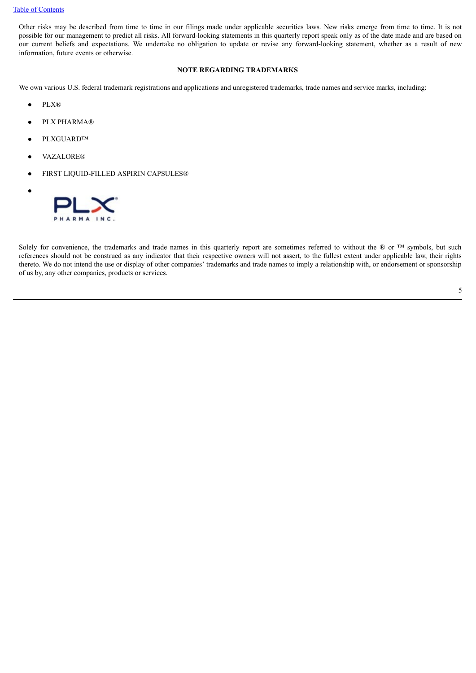Other risks may be described from time to time in our filings made under applicable securities laws. New risks emerge from time to time. It is not possible for our management to predict all risks. All forward-looking statements in this quarterly report speak only as of the date made and are based on our current beliefs and expectations. We undertake no obligation to update or revise any forward-looking statement, whether as a result of new information, future events or otherwise.

## **NOTE REGARDING TRADEMARKS**

We own various U.S. federal trademark registrations and applications and unregistered trademarks, trade names and service marks, including:

PLX<sup>®</sup>

●

- PLX PHARMA®
- PLXGUARD™
- **VAZALORE®**
- FIRST LIQUID-FILLED ASPIRIN CAPSULES®



Solely for convenience, the trademarks and trade names in this quarterly report are sometimes referred to without the  $\&$  or  $\text{TM}$  symbols, but such references should not be construed as any indicator that their respective owners will not assert, to the fullest extent under applicable law, their rights thereto. We do not intend the use or display of other companies' trademarks and trade names to imply a relationship with, or endorsement or sponsorship of us by, any other companies, products or services.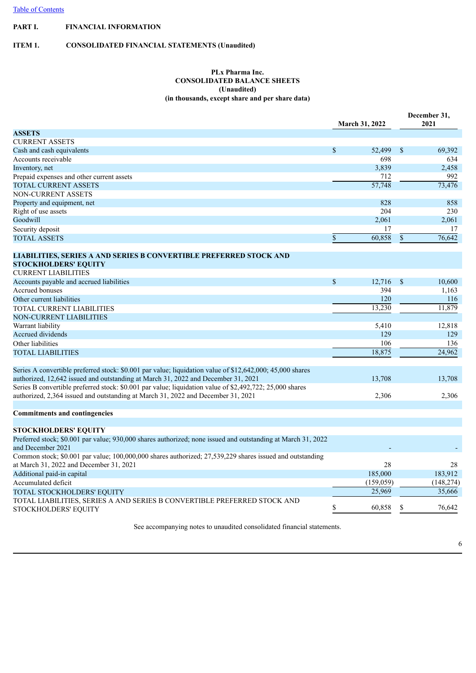### <span id="page-5-0"></span>**PART I. FINANCIAL INFORMATION**

## <span id="page-5-2"></span><span id="page-5-1"></span>**ITEM 1. CONSOLIDATED FINANCIAL STATEMENTS (Unaudited)**

## **PLx Pharma Inc. CONSOLIDATED BALANCE SHEETS (Unaudited) (in thousands, except share and per share data)**

|                                                                                                                                                                                                | <b>March 31, 2022</b> | December 31,<br>2021 |                 |  |
|------------------------------------------------------------------------------------------------------------------------------------------------------------------------------------------------|-----------------------|----------------------|-----------------|--|
| <b>ASSETS</b>                                                                                                                                                                                  |                       |                      |                 |  |
| <b>CURRENT ASSETS</b>                                                                                                                                                                          |                       |                      |                 |  |
| Cash and cash equivalents                                                                                                                                                                      | \$<br>52,499          | $\mathbb{S}$         | 69,392          |  |
| Accounts receivable                                                                                                                                                                            | 698                   |                      | 634             |  |
| Inventory, net                                                                                                                                                                                 | 3,839                 |                      | 2,458           |  |
| Prepaid expenses and other current assets                                                                                                                                                      | 712                   |                      | 992             |  |
| TOTAL CURRENT ASSETS                                                                                                                                                                           | 57,748                |                      | 73,476          |  |
| <b>NON-CURRENT ASSETS</b>                                                                                                                                                                      |                       |                      |                 |  |
| Property and equipment, net                                                                                                                                                                    | 828                   |                      | 858             |  |
| Right of use assets                                                                                                                                                                            | 204                   |                      | 230             |  |
| Goodwill                                                                                                                                                                                       | 2,061                 |                      | 2,061           |  |
| Security deposit                                                                                                                                                                               | 17                    |                      | 17              |  |
| <b>TOTAL ASSETS</b>                                                                                                                                                                            | \$<br>60,858          | \$                   | 76.642          |  |
| LIABILITIES, SERIES A AND SERIES B CONVERTIBLE PREFERRED STOCK AND<br><b>STOCKHOLDERS' EQUITY</b>                                                                                              |                       |                      |                 |  |
| <b>CURRENT LIABILITIES</b><br>Accounts payable and accrued liabilities                                                                                                                         |                       | $\mathcal{S}$        |                 |  |
| Accrued bonuses                                                                                                                                                                                | \$<br>12,716<br>394   |                      | 10,600<br>1,163 |  |
| Other current liabilities                                                                                                                                                                      | 120                   |                      | 116             |  |
|                                                                                                                                                                                                | 13,230                |                      | 11,879          |  |
| TOTAL CURRENT LIABILITIES                                                                                                                                                                      |                       |                      |                 |  |
| <b>NON-CURRENT LIABILITIES</b><br>Warrant liability                                                                                                                                            |                       |                      |                 |  |
| Accrued dividends                                                                                                                                                                              | 5,410<br>129          |                      | 12,818<br>129   |  |
|                                                                                                                                                                                                | 106                   |                      | 136             |  |
| Other liabilities                                                                                                                                                                              | 18.875                |                      | 24.962          |  |
| <b>TOTAL LIABILITIES</b>                                                                                                                                                                       |                       |                      |                 |  |
| Series A convertible preferred stock: \$0.001 par value; liquidation value of \$12,642,000; 45,000 shares<br>authorized, 12,642 issued and outstanding at March 31, 2022 and December 31, 2021 | 13,708                |                      | 13,708          |  |
| Series B convertible preferred stock: \$0.001 par value; liquidation value of \$2,492,722; 25,000 shares<br>authorized, 2,364 issued and outstanding at March 31, 2022 and December 31, 2021   | 2,306                 |                      | 2,306           |  |
| <b>Commitments and contingencies</b>                                                                                                                                                           |                       |                      |                 |  |
| <b>STOCKHOLDERS' EQUITY</b>                                                                                                                                                                    |                       |                      |                 |  |
| Preferred stock; \$0.001 par value; 930,000 shares authorized; none issued and outstanding at March 31, 2022<br>and December 2021                                                              |                       |                      |                 |  |
| Common stock; \$0.001 par value; 100,000,000 shares authorized; 27,539,229 shares issued and outstanding<br>at March 31, 2022 and December 31, 2021                                            | 28                    |                      | 28              |  |
| Additional paid-in capital                                                                                                                                                                     | 185,000               |                      | 183,912         |  |
| Accumulated deficit                                                                                                                                                                            | (159, 059)            |                      | (148, 274)      |  |
| TOTAL STOCKHOLDERS' EQUITY                                                                                                                                                                     | 25,969                |                      | 35,666          |  |
| TOTAL LIABILITIES, SERIES A AND SERIES B CONVERTIBLE PREFERRED STOCK AND<br>STOCKHOLDERS' EQUITY                                                                                               | \$<br>60,858          | \$                   | 76,642          |  |
|                                                                                                                                                                                                |                       |                      |                 |  |

See accompanying notes to unaudited consolidated financial statements.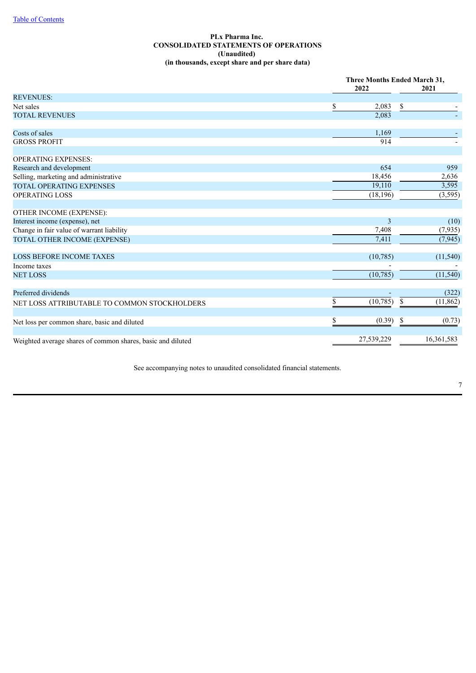## **PLx Pharma Inc. CONSOLIDATED STATEMENTS OF OPERATIONS (Unaudited) (in thousands, except share and per share data)**

<span id="page-6-0"></span>

|                                                             |                 | Three Months Ended March 31, |
|-------------------------------------------------------------|-----------------|------------------------------|
|                                                             | 2022            | 2021                         |
| <b>REVENUES:</b>                                            |                 |                              |
| Net sales                                                   | \$<br>2,083     | \$                           |
| <b>TOTAL REVENUES</b>                                       | 2,083           |                              |
| Costs of sales                                              | 1,169           |                              |
| <b>GROSS PROFIT</b>                                         | 914             |                              |
| <b>OPERATING EXPENSES:</b>                                  |                 |                              |
| Research and development                                    | 654             | 959                          |
| Selling, marketing and administrative                       | 18,456          | 2,636                        |
| <b>TOTAL OPERATING EXPENSES</b>                             | 19,110          | 3,595                        |
| <b>OPERATING LOSS</b>                                       | (18, 196)       | (3, 595)                     |
| OTHER INCOME (EXPENSE):                                     |                 |                              |
| Interest income (expense), net                              | 3               | (10)                         |
| Change in fair value of warrant liability                   | 7,408           | (7, 935)                     |
| TOTAL OTHER INCOME (EXPENSE)                                | 7.411           | (7, 945)                     |
| <b>LOSS BEFORE INCOME TAXES</b>                             | (10, 785)       | (11, 540)                    |
| Income taxes                                                |                 |                              |
| <b>NET LOSS</b>                                             | (10, 785)       | (11, 540)                    |
| Preferred dividends                                         |                 | (322)                        |
| NET LOSS ATTRIBUTABLE TO COMMON STOCKHOLDERS                | \$<br>(10, 785) | $\mathbb{S}$<br>(11, 862)    |
| Net loss per common share, basic and diluted                | \$<br>(0.39)    | \$<br>(0.73)                 |
| Weighted average shares of common shares, basic and diluted | 27,539,229      | 16,361,583                   |

See accompanying notes to unaudited consolidated financial statements.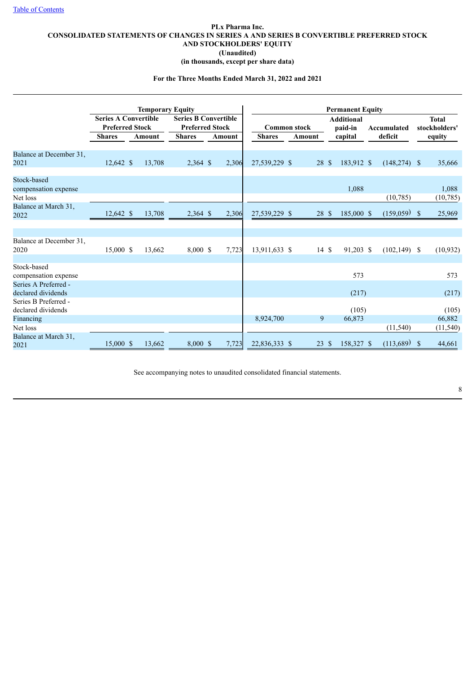## <span id="page-7-0"></span>**PLx Pharma Inc. CONSOLIDATED STATEMENTS OF CHANGES IN SERIES A AND SERIES B CONVERTIBLE PREFERRED STOCK AND STOCKHOLDERS' EQUITY (Unaudited) (in thousands, except per share data)**

## **For the Three Months Ended March 31, 2022 and 2021**

|                                                                    | <b>Temporary Equity</b>                               |        |                     |                                                       | <b>Permanent Equity</b> |                     |  |                  |                              |            |             |                            |  |                               |
|--------------------------------------------------------------------|-------------------------------------------------------|--------|---------------------|-------------------------------------------------------|-------------------------|---------------------|--|------------------|------------------------------|------------|-------------|----------------------------|--|-------------------------------|
|                                                                    | <b>Series A Convertible</b><br><b>Preferred Stock</b> |        |                     | <b>Series B Convertible</b><br><b>Preferred Stock</b> |                         | <b>Common stock</b> |  |                  | <b>Additional</b><br>paid-in |            | Accumulated |                            |  | <b>Total</b><br>stockholders' |
|                                                                    | <b>Shares</b>                                         | Amount | <b>Shares</b>       |                                                       | Amount                  | <b>Shares</b>       |  | Amount           |                              | capital    |             | deficit                    |  | equity                        |
| Balance at December 31.<br>2021                                    | 12,642 \$                                             | 13,708 | $2,364$ \$          |                                                       | 2,306                   | 27,539,229 \$       |  | 28 \$            |                              | 183,912 \$ |             | $(148,274)$ \$             |  | 35,666                        |
| Stock-based<br>compensation expense                                |                                                       |        |                     |                                                       |                         |                     |  |                  |                              | 1,088      |             |                            |  | 1,088                         |
| Net loss<br>Balance at March 31,<br>2022                           | 12,642 \$                                             | 13,708 | 2,364 \$            |                                                       | 2,306                   | 27,539,229 \$       |  | 28 \$            |                              | 185,000 \$ |             | (10,785)<br>$(159,059)$ \$ |  | (10, 785)<br>25,969           |
|                                                                    |                                                       |        |                     |                                                       |                         |                     |  |                  |                              |            |             |                            |  |                               |
| Balance at December 31,<br>2020                                    | 15,000 \$                                             | 13,662 | $8,000 \text{ }$ \$ |                                                       | 7,723                   | 13,911,633 \$       |  | $14 \text{ }$ \$ |                              | 91,203 \$  |             | $(102, 149)$ \$            |  | (10, 932)                     |
| Stock-based<br>compensation expense                                |                                                       |        |                     |                                                       |                         |                     |  |                  |                              | 573        |             |                            |  | 573                           |
| Series A Preferred -<br>declared dividends<br>Series B Preferred - |                                                       |        |                     |                                                       |                         |                     |  |                  |                              | (217)      |             |                            |  | (217)                         |
| declared dividends                                                 |                                                       |        |                     |                                                       |                         |                     |  |                  |                              | (105)      |             |                            |  | (105)                         |
| Financing                                                          |                                                       |        |                     |                                                       |                         | 8,924,700           |  | 9                |                              | 66,873     |             |                            |  | 66,882                        |
| Net loss                                                           |                                                       |        |                     |                                                       |                         |                     |  |                  |                              |            |             | (11, 540)                  |  | (11, 540)                     |
| Balance at March 31,<br>2021                                       | 15,000 \$                                             | 13,662 | $8,000 \text{ }$ \$ |                                                       | 7,723                   | 22,836,333 \$       |  | $23 \text{ }$    |                              | 158,327 \$ |             | $(113,689)$ \$             |  | 44,661                        |

See accompanying notes to unaudited consolidated financial statements.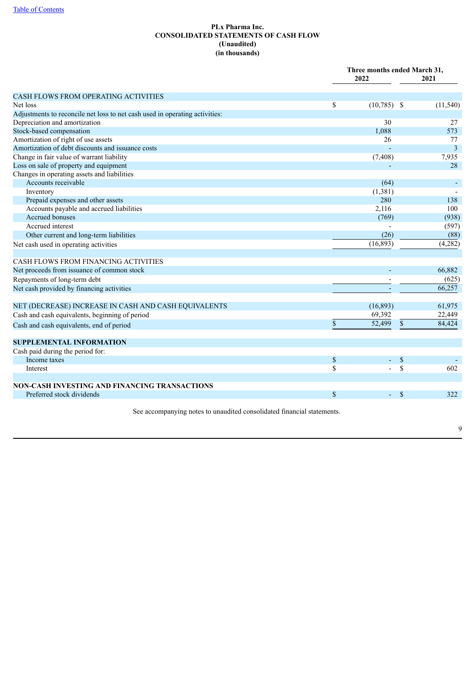## **PLx Pharma Inc. CONSOLIDATED STATEMENTS OF CASH FLOW (Unaudited) (in thousands)**

<span id="page-8-0"></span>

|                                                                             |      | Three months ended March 31,<br>2022 |              | 2021           |  |
|-----------------------------------------------------------------------------|------|--------------------------------------|--------------|----------------|--|
| <b>CASH FLOWS FROM OPERATING ACTIVITIES</b>                                 |      |                                      |              |                |  |
| Net loss                                                                    | \$   | $(10,785)$ \$                        |              | (11, 540)      |  |
| Adjustments to reconcile net loss to net cash used in operating activities: |      |                                      |              |                |  |
| Depreciation and amortization                                               |      | 30                                   |              | 27             |  |
| Stock-based compensation                                                    |      | 1,088                                |              | 573            |  |
| Amortization of right of use assets                                         |      | 26                                   |              | 77             |  |
| Amortization of debt discounts and issuance costs                           |      |                                      |              | $\mathfrak{Z}$ |  |
| Change in fair value of warrant liability                                   |      | (7, 408)                             |              | 7,935          |  |
| Loss on sale of property and equipment                                      |      |                                      |              | 28             |  |
| Changes in operating assets and liabilities                                 |      |                                      |              |                |  |
| Accounts receivable                                                         |      | (64)                                 |              |                |  |
| Inventory                                                                   |      | (1, 381)                             |              |                |  |
| Prepaid expenses and other assets                                           |      | 280                                  |              | 138            |  |
| Accounts payable and accrued liabilities                                    |      | 2,116                                |              | 100            |  |
| <b>Accrued bonuses</b>                                                      |      | (769)                                |              | (938)          |  |
| Accrued interest                                                            |      |                                      |              | (597)          |  |
| Other current and long-term liabilities                                     |      | (26)                                 |              | (88)           |  |
| Net cash used in operating activities                                       |      | (16, 893)                            |              | (4, 282)       |  |
| CASH FLOWS FROM FINANCING ACTIVITIES                                        |      |                                      |              |                |  |
| Net proceeds from issuance of common stock                                  |      |                                      |              | 66,882         |  |
| Repayments of long-term debt                                                |      |                                      |              | (625)          |  |
| Net cash provided by financing activities                                   |      |                                      |              | 66,257         |  |
| NET (DECREASE) INCREASE IN CASH AND CASH EQUIVALENTS                        |      | (16, 893)                            |              | 61,975         |  |
| Cash and cash equivalents, beginning of period                              |      | 69,392                               |              | 22,449         |  |
| Cash and cash equivalents, end of period                                    | \$   | 52,499                               | $\mathbb S$  | 84,424         |  |
| <b>SUPPLEMENTAL INFORMATION</b>                                             |      |                                      |              |                |  |
| Cash paid during the period for:                                            |      |                                      |              |                |  |
| Income taxes                                                                | $\$$ | $\omega_{\rm{eff}}$                  | $\mathbb{S}$ |                |  |
| Interest                                                                    | \$   |                                      | \$           | 602            |  |
| NON-CASH INVESTING AND FINANCING TRANSACTIONS                               |      |                                      |              |                |  |
| Preferred stock dividends                                                   | \$   | $\sim$                               | $\mathbf S$  | 322            |  |

See accompanying notes to unaudited consolidated financial statements.

9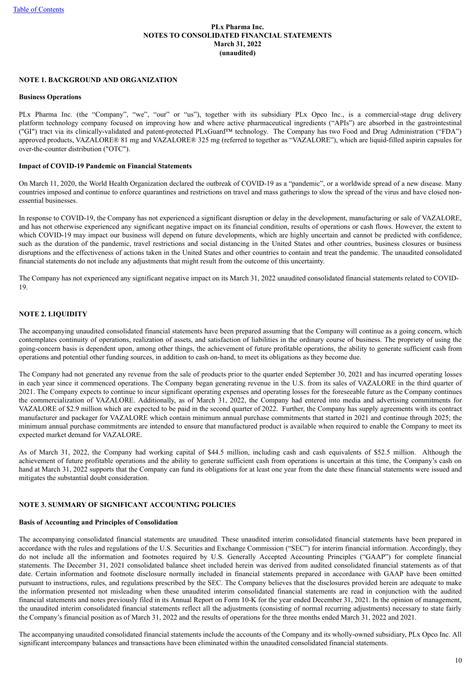### **PLx Pharma Inc. NOTES TO CONSOLIDATED FINANCIAL STATEMENTS March 31, 2022 (unaudited)**

## <span id="page-9-0"></span>**NOTE 1. BACKGROUND AND ORGANIZATION**

## **Business Operations**

PLx Pharma Inc. (the "Company", "we", "our" or "us"), together with its subsidiary PLx Opco Inc., is a commercial-stage drug delivery platform technology company focused on improving how and where active pharmaceutical ingredients ("APIs") are absorbed in the gastrointestinal ("GI") tract via its clinically-validated and patent-protected PLxGuard™ technology. The Company has two Food and Drug Administration ("FDA") approved products, VAZALORE® 81 mg and VAZALORE® 325 mg (referred to together as "VAZALORE"), which are liquid-filled aspirin capsules for over-the-counter distribution ("OTC").

### **Impact of COVID-19 Pandemic on Financial Statements**

On March 11, 2020, the World Health Organization declared the outbreak of COVID-19 as a "pandemic", or a worldwide spread of a new disease. Many countries imposed and continue to enforce quarantines and restrictions on travel and mass gatherings to slow the spread of the virus and have closed nonessential businesses.

In response to COVID-19, the Company has not experienced a significant disruption or delay in the development, manufacturing or sale of VAZALORE, and has not otherwise experienced any significant negative impact on its financial condition, results of operations or cash flows. However, the extent to which COVID-19 may impact our business will depend on future developments, which are highly uncertain and cannot be predicted with confidence, such as the duration of the pandemic, travel restrictions and social distancing in the United States and other countries, business closures or business disruptions and the effectiveness of actions taken in the United States and other countries to contain and treat the pandemic. The unaudited consolidated financial statements do not include any adjustments that might result from the outcome of this uncertainty.

The Company has not experienced any significant negative impact on its March 31, 2022 unaudited consolidated financial statements related to COVID-19.

## **NOTE 2. LIQUIDITY**

The accompanying unaudited consolidated financial statements have been prepared assuming that the Company will continue as a going concern, which contemplates continuity of operations, realization of assets, and satisfaction of liabilities in the ordinary course of business. The propriety of using the going-concern basis is dependent upon, among other things, the achievement of future profitable operations, the ability to generate sufficient cash from operations and potential other funding sources, in addition to cash on-hand, to meet its obligations as they become due.

The Company had not generated any revenue from the sale of products prior to the quarter ended September 30, 2021 and has incurred operating losses in each year since it commenced operations. The Company began generating revenue in the U.S. from its sales of VAZALORE in the third quarter of 2021. The Company expects to continue to incur significant operating expenses and operating losses for the foreseeable future as the Company continues the commercialization of VAZALORE. Additionally, as of March 31, 2022, the Company had entered into media and advertising commitments for VAZALORE of \$2.9 million which are expected to be paid in the second quarter of 2022. Further, the Company has supply agreements with its contract manufacturer and packager for VAZALORE which contain minimum annual purchase commitments that started in 2021 and continue through 2025; the minimum annual purchase commitments are intended to ensure that manufactured product is available when required to enable the Company to meet its expected market demand for VAZALORE.

As of March 31, 2022, the Company had working capital of \$44.5 million, including cash and cash equivalents of \$52.5 million. Although the achievement of future profitable operations and the ability to generate sufficient cash from operations is uncertain at this time, the Company's cash on hand at March 31, 2022 supports that the Company can fund its obligations for at least one year from the date these financial statements were issued and mitigates the substantial doubt consideration.

## **NOTE 3. SUMMARY OF SIGNIFICANT ACCOUNTING POLICIES**

#### **Basis of Accounting and Principles of Consolidation**

The accompanying consolidated financial statements are unaudited. These unaudited interim consolidated financial statements have been prepared in accordance with the rules and regulations of the U.S. Securities and Exchange Commission ("SEC") for interim financial information. Accordingly, they do not include all the information and footnotes required by U.S. Generally Accepted Accounting Principles ("GAAP") for complete financial statements. The December 31, 2021 consolidated balance sheet included herein was derived from audited consolidated financial statements as of that date. Certain information and footnote disclosure normally included in financial statements prepared in accordance with GAAP have been omitted pursuant to instructions, rules, and regulations prescribed by the SEC. The Company believes that the disclosures provided herein are adequate to make the information presented not misleading when these unaudited interim consolidated financial statements are read in conjunction with the audited financial statements and notes previously filed in its Annual Report on Form 10-K for the year ended December 31, 2021. In the opinion of management, the unaudited interim consolidated financial statements reflect all the adjustments (consisting of normal recurring adjustments) necessary to state fairly the Company's financial position as of March 31, 2022 and the results of operations for the three months ended March 31, 2022 and 2021.

The accompanying unaudited consolidated financial statements include the accounts of the Company and its wholly-owned subsidiary, PLx Opco Inc. All significant intercompany balances and transactions have been eliminated within the unaudited consolidated financial statements.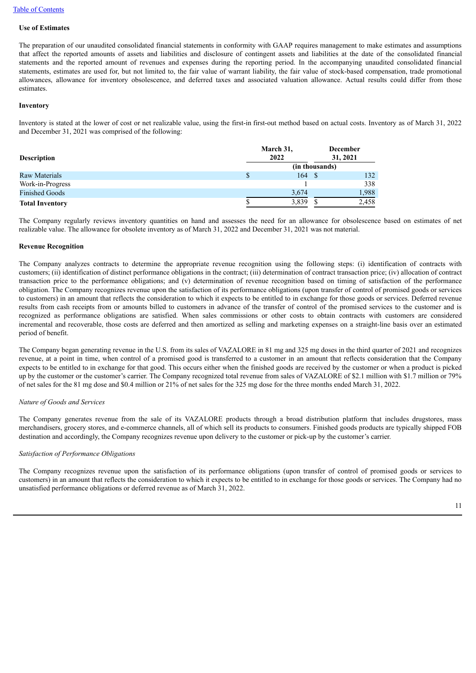### **Use of Estimates**

The preparation of our unaudited consolidated financial statements in conformity with GAAP requires management to make estimates and assumptions that affect the reported amounts of assets and liabilities and disclosure of contingent assets and liabilities at the date of the consolidated financial statements and the reported amount of revenues and expenses during the reporting period. In the accompanying unaudited consolidated financial statements, estimates are used for, but not limited to, the fair value of warrant liability, the fair value of stock-based compensation, trade promotional allowances, allowance for inventory obsolescence, and deferred taxes and associated valuation allowance. Actual results could differ from those estimates.

#### **Inventory**

Inventory is stated at the lower of cost or net realizable value, using the first-in first-out method based on actual costs. Inventory as of March 31, 2022 and December 31, 2021 was comprised of the following:

| <b>Description</b>     | 2022 | March 31, |                |       |  |
|------------------------|------|-----------|----------------|-------|--|
|                        |      |           | (in thousands) |       |  |
| <b>Raw Materials</b>   |      | 164       | - \$           | 132   |  |
| Work-in-Progress       |      |           |                | 338   |  |
| <b>Finished Goods</b>  |      | 3.674     |                | 1,988 |  |
| <b>Total Inventory</b> |      | 3,839     |                | 2,458 |  |

The Company regularly reviews inventory quantities on hand and assesses the need for an allowance for obsolescence based on estimates of net realizable value. The allowance for obsolete inventory as of March 31, 2022 and December 31, 2021 was not material.

#### **Revenue Recognition**

The Company analyzes contracts to determine the appropriate revenue recognition using the following steps: (i) identification of contracts with customers; (ii) identification of distinct performance obligations in the contract; (iii) determination of contract transaction price; (iv) allocation of contract transaction price to the performance obligations; and (v) determination of revenue recognition based on timing of satisfaction of the performance obligation. The Company recognizes revenue upon the satisfaction of its performance obligations (upon transfer of control of promised goods or services to customers) in an amount that reflects the consideration to which it expects to be entitled to in exchange for those goods or services. Deferred revenue results from cash receipts from or amounts billed to customers in advance of the transfer of control of the promised services to the customer and is recognized as performance obligations are satisfied. When sales commissions or other costs to obtain contracts with customers are considered incremental and recoverable, those costs are deferred and then amortized as selling and marketing expenses on a straight-line basis over an estimated period of benefit.

The Company began generating revenue in the U.S. from its sales of VAZALORE in 81 mg and 325 mg doses in the third quarter of 2021 and recognizes revenue, at a point in time, when control of a promised good is transferred to a customer in an amount that reflects consideration that the Company expects to be entitled to in exchange for that good. This occurs either when the finished goods are received by the customer or when a product is picked up by the customer or the customer's carrier. The Company recognized total revenue from sales of VAZALORE of \$2.1 million with \$1.7 million or 79% of net sales for the 81 mg dose and \$0.4 million or 21% of net sales for the 325 mg dose for the three months ended March 31, 2022.

#### *Nature of Goods and Services*

The Company generates revenue from the sale of its VAZALORE products through a broad distribution platform that includes drugstores, mass merchandisers, grocery stores, and e-commerce channels, all of which sell its products to consumers. Finished goods products are typically shipped FOB destination and accordingly, the Company recognizes revenue upon delivery to the customer or pick-up by the customer's carrier.

## *Satisfaction of Performance Obligations*

The Company recognizes revenue upon the satisfaction of its performance obligations (upon transfer of control of promised goods or services to customers) in an amount that reflects the consideration to which it expects to be entitled to in exchange for those goods or services. The Company had no unsatisfied performance obligations or deferred revenue as of March 31, 2022.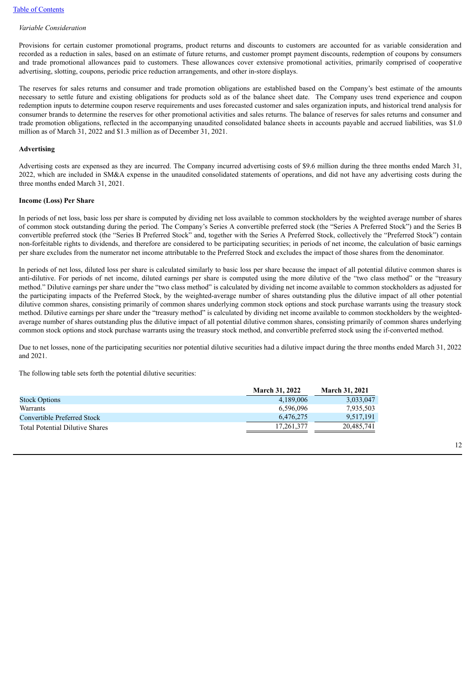### *Variable Consideration*

Provisions for certain customer promotional programs, product returns and discounts to customers are accounted for as variable consideration and recorded as a reduction in sales, based on an estimate of future returns, and customer prompt payment discounts, redemption of coupons by consumers and trade promotional allowances paid to customers. These allowances cover extensive promotional activities, primarily comprised of cooperative advertising, slotting, coupons, periodic price reduction arrangements, and other in-store displays.

The reserves for sales returns and consumer and trade promotion obligations are established based on the Company's best estimate of the amounts necessary to settle future and existing obligations for products sold as of the balance sheet date. The Company uses trend experience and coupon redemption inputs to determine coupon reserve requirements and uses forecasted customer and sales organization inputs, and historical trend analysis for consumer brands to determine the reserves for other promotional activities and sales returns. The balance of reserves for sales returns and consumer and trade promotion obligations, reflected in the accompanying unaudited consolidated balance sheets in accounts payable and accrued liabilities, was \$1.0 million as of March 31, 2022 and \$1.3 million as of December 31, 2021.

#### **Advertising**

Advertising costs are expensed as they are incurred. The Company incurred advertising costs of \$9.6 million during the three months ended March 31, 2022, which are included in SM&A expense in the unaudited consolidated statements of operations, and did not have any advertising costs during the three months ended March 31, 2021.

#### **Income (Loss) Per Share**

In periods of net loss, basic loss per share is computed by dividing net loss available to common stockholders by the weighted average number of shares of common stock outstanding during the period. The Company's Series A convertible preferred stock (the "Series A Preferred Stock") and the Series B convertible preferred stock (the "Series B Preferred Stock" and, together with the Series A Preferred Stock, collectively the "Preferred Stock") contain non-forfeitable rights to dividends, and therefore are considered to be participating securities; in periods of net income, the calculation of basic earnings per share excludes from the numerator net income attributable to the Preferred Stock and excludes the impact of those shares from the denominator.

In periods of net loss, diluted loss per share is calculated similarly to basic loss per share because the impact of all potential dilutive common shares is anti-dilutive. For periods of net income, diluted earnings per share is computed using the more dilutive of the "two class method" or the "treasury method." Dilutive earnings per share under the "two class method" is calculated by dividing net income available to common stockholders as adjusted for the participating impacts of the Preferred Stock, by the weighted-average number of shares outstanding plus the dilutive impact of all other potential dilutive common shares, consisting primarily of common shares underlying common stock options and stock purchase warrants using the treasury stock method. Dilutive earnings per share under the "treasury method" is calculated by dividing net income available to common stockholders by the weightedaverage number of shares outstanding plus the dilutive impact of all potential dilutive common shares, consisting primarily of common shares underlying common stock options and stock purchase warrants using the treasury stock method, and convertible preferred stock using the if-converted method.

Due to net losses, none of the participating securities nor potential dilutive securities had a dilutive impact during the three months ended March 31, 2022 and 2021.

The following table sets forth the potential dilutive securities:

|                                        | <b>March 31, 2022</b> | <b>March 31, 2021</b> |
|----------------------------------------|-----------------------|-----------------------|
| <b>Stock Options</b>                   | 4,189,006             | 3,033,047             |
| <b>Warrants</b>                        | 6.596.096             | 7,935,503             |
| Convertible Preferred Stock            | 6.476.275             | 9.517.191             |
| <b>Total Potential Dilutive Shares</b> | 17.261.377            | 20.485.741            |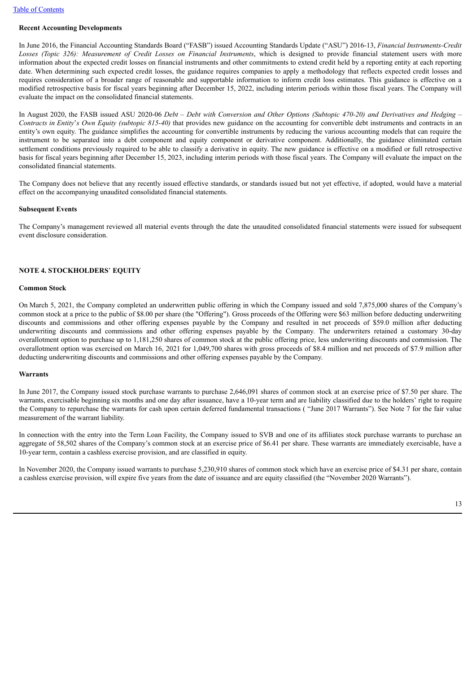# **Recent Accounting Developments**

In June 2016, the Financial Accounting Standards Board ("FASB") issued Accounting Standards Update ("ASU") 2016-13, *Financial Instruments-Credit Losses (Topic 326): Measurement of Credit Losses on Financial Instruments*, which is designed to provide financial statement users with more information about the expected credit losses on financial instruments and other commitments to extend credit held by a reporting entity at each reporting date. When determining such expected credit losses, the guidance requires companies to apply a methodology that reflects expected credit losses and requires consideration of a broader range of reasonable and supportable information to inform credit loss estimates. This guidance is effective on a modified retrospective basis for fiscal years beginning after December 15, 2022, including interim periods within those fiscal years. The Company will evaluate the impact on the consolidated financial statements.

In August 2020, the FASB issued ASU 2020-06 Debt - Debt with Conversion and Other Options (Subtopic 470-20) and Derivatives and Hedging -*Contracts in Entity*'*s Own Equity (subtopic 815-40)* that provides new guidance on the accounting for convertible debt instruments and contracts in an entity's own equity. The guidance simplifies the accounting for convertible instruments by reducing the various accounting models that can require the instrument to be separated into a debt component and equity component or derivative component. Additionally, the guidance eliminated certain settlement conditions previously required to be able to classify a derivative in equity. The new guidance is effective on a modified or full retrospective basis for fiscal years beginning after December 15, 2023, including interim periods with those fiscal years. The Company will evaluate the impact on the consolidated financial statements.

The Company does not believe that any recently issued effective standards, or standards issued but not yet effective, if adopted, would have a material effect on the accompanying unaudited consolidated financial statements.

### **Subsequent Events**

The Company's management reviewed all material events through the date the unaudited consolidated financial statements were issued for subsequent event disclosure consideration.

## **NOTE 4. STOCKHOLDERS**' **EQUITY**

#### **Common Stock**

On March 5, 2021, the Company completed an underwritten public offering in which the Company issued and sold 7,875,000 shares of the Company's common stock at a price to the public of \$8.00 per share (the "Offering"). Gross proceeds of the Offering were \$63 million before deducting underwriting discounts and commissions and other offering expenses payable by the Company and resulted in net proceeds of \$59.0 million after deducting underwriting discounts and commissions and other offering expenses payable by the Company. The underwriters retained a customary 30-day overallotment option to purchase up to 1,181,250 shares of common stock at the public offering price, less underwriting discounts and commission. The overallotment option was exercised on March 16, 2021 for 1,049,700 shares with gross proceeds of \$8.4 million and net proceeds of \$7.9 million after deducting underwriting discounts and commissions and other offering expenses payable by the Company.

#### **Warrants**

In June 2017, the Company issued stock purchase warrants to purchase 2,646,091 shares of common stock at an exercise price of \$7.50 per share. The warrants, exercisable beginning six months and one day after issuance, have a 10-year term and are liability classified due to the holders' right to require the Company to repurchase the warrants for cash upon certain deferred fundamental transactions ( "June 2017 Warrants"). See Note 7 for the fair value measurement of the warrant liability.

In connection with the entry into the Term Loan Facility, the Company issued to SVB and one of its affiliates stock purchase warrants to purchase an aggregate of 58,502 shares of the Company's common stock at an exercise price of \$6.41 per share. These warrants are immediately exercisable, have a 10-year term, contain a cashless exercise provision, and are classified in equity.

In November 2020, the Company issued warrants to purchase 5,230,910 shares of common stock which have an exercise price of \$4.31 per share, contain a cashless exercise provision, will expire five years from the date of issuance and are equity classified (the "November 2020 Warrants").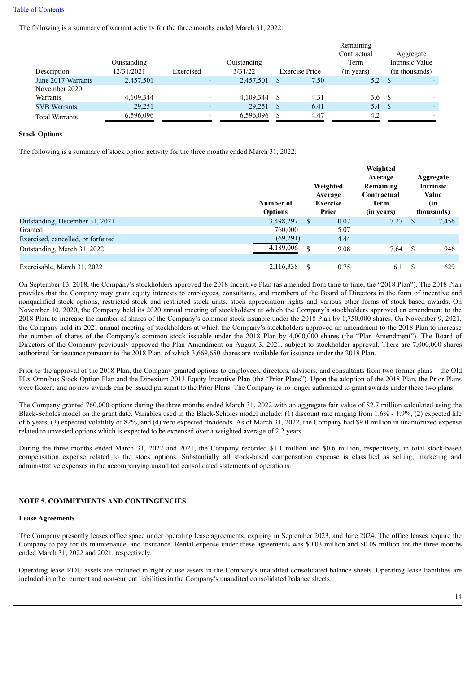The following is a summary of warrant activity for the three months ended March 31, 2022:

|             |           |             |           | Remaining             |                  |
|-------------|-----------|-------------|-----------|-----------------------|------------------|
|             |           |             |           | Contractual           | Aggregate        |
| Outstanding |           | Outstanding |           | Term                  | Intrinsic Value  |
| 12/31/2021  | Exercised | 3/31/22     |           | (in years)            | (in thousands)   |
| 2,457,501   |           | 2,457,501   | 7.50      | 5.2                   |                  |
|             |           |             |           |                       |                  |
| 4,109,344   |           |             | 4.31      |                       |                  |
| 29,251      |           | 29,251      | 6.41      | 5.4                   |                  |
| 6,596,096   |           | 6,596,096   | 4.47      | 4.2                   |                  |
|             |           |             | 4,109,344 | <b>Exercise Price</b> | 3.6 <sub>5</sub> |

#### **Stock Options**

The following is a summary of stock option activity for the three months ended March 31, 2022:

|                                    | Number of<br><b>Options</b> |     | Weighted<br>Average<br><b>Exercise</b><br>Price | Weighted<br>Average<br>Remaining<br>Contractual<br>Term<br>(in years) | Aggregate<br>Intrinsic<br><b>Value</b><br>(in<br>thousands) |       |
|------------------------------------|-----------------------------|-----|-------------------------------------------------|-----------------------------------------------------------------------|-------------------------------------------------------------|-------|
| Outstanding, December 31, 2021     | 3,498,297                   |     | 10.07                                           | 7.27                                                                  |                                                             | 7,456 |
| Granted                            | 760,000                     |     | 5.07                                            |                                                                       |                                                             |       |
| Exercised, cancelled, or forfeited | (69,291)                    |     | 14.44                                           |                                                                       |                                                             |       |
| Outstanding, March 31, 2022        | 4,189,006                   | \$. | 9.08                                            | 7.64                                                                  | -S                                                          | 946   |
| Exercisable, March 31, 2022        | 2,116,338                   | \$. | 10.75                                           | 6.1                                                                   |                                                             | 629   |

On September 13, 2018, the Company's stockholders approved the 2018 Incentive Plan (as amended from time to time, the "2018 Plan"). The 2018 Plan provides that the Company may grant equity interests to employees, consultants, and members of the Board of Directors in the form of incentive and nonqualified stock options, restricted stock and restricted stock units, stock appreciation rights and various other forms of stock-based awards. On November 10, 2020, the Company held its 2020 annual meeting of stockholders at which the Company's stockholders approved an amendment to the 2018 Plan, to increase the number of shares of the Company's common stock issuable under the 2018 Plan by 1,750,000 shares. On November 9, 2021, the Company held its 2021 annual meeting of stockholders at which the Company's stockholders approved an amendment to the 2018 Plan to increase the number of shares of the Company's common stock issuable under the 2018 Plan by 4,000,000 shares (the "Plan Amendment"). The Board of Directors of the Company previously approved the Plan Amendment on August 3, 2021, subject to stockholder approval. There are 7,000,000 shares authorized for issuance pursuant to the 2018 Plan, of which 3,669,650 shares are available for issuance under the 2018 Plan.

Prior to the approval of the 2018 Plan, the Company granted options to employees, directors, advisors, and consultants from two former plans – the Old PLx Omnibus Stock Option Plan and the Dipexium 2013 Equity Incentive Plan (the "Prior Plans"). Upon the adoption of the 2018 Plan, the Prior Plans were frozen, and no new awards can be issued pursuant to the Prior Plans. The Company is no longer authorized to grant awards under these two plans.

The Company granted 760,000 options during the three months ended March 31, 2022 with an aggregate fair value of \$2.7 million calculated using the Black-Scholes model on the grant date. Variables used in the Black-Scholes model include: (1) discount rate ranging from 1.6% - 1.9%, (2) expected life of 6 years, (3) expected volatility of 82%, and (4) zero expected dividends. As of March 31, 2022, the Company had \$9.0 million in unamortized expense related to unvested options which is expected to be expensed over a weighted average of 2.2 years.

During the three months ended March 31, 2022 and 2021, the Company recorded \$1.1 million and \$0.6 million, respectively, in total stock-based compensation expense related to the stock options. Substantially all stock-based compensation expense is classified as selling, marketing and administrative expenses in the accompanying unaudited consolidated statements of operations.

#### **NOTE 5. COMMITMENTS AND CONTINGENCIES**

#### **Lease Agreements**

The Company presently leases office space under operating lease agreements, expiring in September 2023, and June 2024. The office leases require the Company to pay for its maintenance, and insurance. Rental expense under these agreements was \$0.03 million and \$0.09 million for the three months ended March 31, 2022 and 2021, respectively.

Operating lease ROU assets are included in right of use assets in the Company's unaudited consolidated balance sheets. Operating lease liabilities are included in other current and non-current liabilities in the Company's unaudited consolidated balance sheets.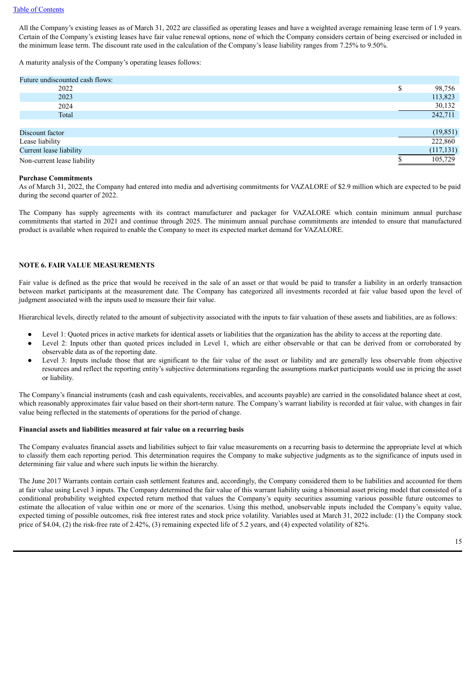All the Company's existing leases as of March 31, 2022 are classified as operating leases and have a weighted average remaining lease term of 1.9 years. Certain of the Company's existing leases have fair value renewal options, none of which the Company considers certain of being exercised or included in the minimum lease term. The discount rate used in the calculation of the Company's lease liability ranges from 7.25% to 9.50%.

A maturity analysis of the Company's operating leases follows:

| Future undiscounted cash flows: |   |            |
|---------------------------------|---|------------|
| 2022                            | S | 98,756     |
| 2023                            |   | 113,823    |
| 2024                            |   | 30,132     |
| Total                           |   | 242,711    |
|                                 |   |            |
| Discount factor                 |   | (19, 851)  |
| Lease liability                 |   | 222,860    |
| Current lease liability         |   | (117, 131) |
| Non-current lease liability     |   | 105,729    |

#### **Purchase Commitments**

As of March 31, 2022, the Company had entered into media and advertising commitments for VAZALORE of \$2.9 million which are expected to be paid during the second quarter of 2022.

The Company has supply agreements with its contract manufacturer and packager for VAZALORE which contain minimum annual purchase commitments that started in 2021 and continue through 2025. The minimum annual purchase commitments are intended to ensure that manufactured product is available when required to enable the Company to meet its expected market demand for VAZALORE.

## **NOTE 6. FAIR VALUE MEASUREMENTS**

Fair value is defined as the price that would be received in the sale of an asset or that would be paid to transfer a liability in an orderly transaction between market participants at the measurement date. The Company has categorized all investments recorded at fair value based upon the level of judgment associated with the inputs used to measure their fair value.

Hierarchical levels, directly related to the amount of subjectivity associated with the inputs to fair valuation of these assets and liabilities, are as follows:

- Level 1: Quoted prices in active markets for identical assets or liabilities that the organization has the ability to access at the reporting date.
- Level 2: Inputs other than quoted prices included in Level 1, which are either observable or that can be derived from or corroborated by observable data as of the reporting date.
- Level 3: Inputs include those that are significant to the fair value of the asset or liability and are generally less observable from objective resources and reflect the reporting entity's subjective determinations regarding the assumptions market participants would use in pricing the asset or liability.

The Company's financial instruments (cash and cash equivalents, receivables, and accounts payable) are carried in the consolidated balance sheet at cost, which reasonably approximates fair value based on their short-term nature. The Company's warrant liability is recorded at fair value, with changes in fair value being reflected in the statements of operations for the period of change.

## **Financial assets and liabilities measured at fair value on a recurring basis**

The Company evaluates financial assets and liabilities subject to fair value measurements on a recurring basis to determine the appropriate level at which to classify them each reporting period. This determination requires the Company to make subjective judgments as to the significance of inputs used in determining fair value and where such inputs lie within the hierarchy.

The June 2017 Warrants contain certain cash settlement features and, accordingly, the Company considered them to be liabilities and accounted for them at fair value using Level 3 inputs. The Company determined the fair value of this warrant liability using a binomial asset pricing model that consisted of a conditional probability weighted expected return method that values the Company's equity securities assuming various possible future outcomes to estimate the allocation of value within one or more of the scenarios. Using this method, unobservable inputs included the Company's equity value, expected timing of possible outcomes, risk free interest rates and stock price volatility. Variables used at March 31, 2022 include: (1) the Company stock price of \$4.04, (2) the risk-free rate of 2.42%, (3) remaining expected life of 5.2 years, and (4) expected volatility of 82%.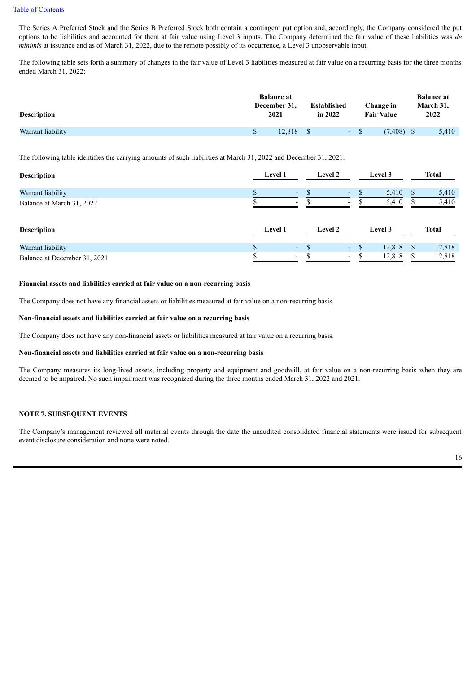#### Table of [Contents](#page-2-0)

The Series A Preferred Stock and the Series B Preferred Stock both contain a contingent put option and, accordingly, the Company considered the put options to be liabilities and accounted for them at fair value using Level 3 inputs. The Company determined the fair value of these liabilities was *de minimis* at issuance and as of March 31, 2022, due to the remote possibly of its occurrence, a Level 3 unobservable input.

The following table sets forth a summary of changes in the fair value of Level 3 liabilities measured at fair value on a recurring basis for the three months ended March 31, 2022:

| <b>Description</b> | <b>Balance at</b><br>December 31,<br>2021 |        | <b>Established</b><br>in $2022$ |       | Change in<br><b>Fair Value</b> | <b>Balance at</b><br>March 31,<br>2022 |
|--------------------|-------------------------------------------|--------|---------------------------------|-------|--------------------------------|----------------------------------------|
| Warrant liability  |                                           | 12,818 |                                 | $- S$ | (7, 408)                       | 5,410                                  |

The following table identifies the carrying amounts of such liabilities at March 31, 2022 and December 31, 2021:

| <b>Description</b>                             | Level 1                        | <b>Level 2</b>                      | Level 3               | <b>Total</b>                   |
|------------------------------------------------|--------------------------------|-------------------------------------|-----------------------|--------------------------------|
| Warrant liability<br>Balance at March 31, 2022 | ٠.<br>$\overline{\phantom{a}}$ | ٠<br>۰D<br>$\overline{\phantom{a}}$ | 5,410<br>۰D.<br>5,410 | 5,410<br><sup>2</sup><br>5,410 |
| <b>Description</b>                             | Level 1                        | Level 2                             | Level 3               | <b>Total</b>                   |
| Warrant liability                              | $\sim$                         | ۰.                                  | 12,818<br>Ъ.          | 12,818                         |
| Balance at December 31, 2021                   | $\overline{\phantom{a}}$       |                                     | 12,818                | 12,818                         |

### **Financial assets and liabilities carried at fair value on a non-recurring basis**

The Company does not have any financial assets or liabilities measured at fair value on a non-recurring basis.

#### **Non-financial assets and liabilities carried at fair value on a recurring basis**

The Company does not have any non-financial assets or liabilities measured at fair value on a recurring basis.

## **Non-financial assets and liabilities carried at fair value on a non-recurring basis**

The Company measures its long-lived assets, including property and equipment and goodwill, at fair value on a non-recurring basis when they are deemed to be impaired. No such impairment was recognized during the three months ended March 31, 2022 and 2021.

### **NOTE 7. SUBSEQUENT EVENTS**

The Company's management reviewed all material events through the date the unaudited consolidated financial statements were issued for subsequent event disclosure consideration and none were noted.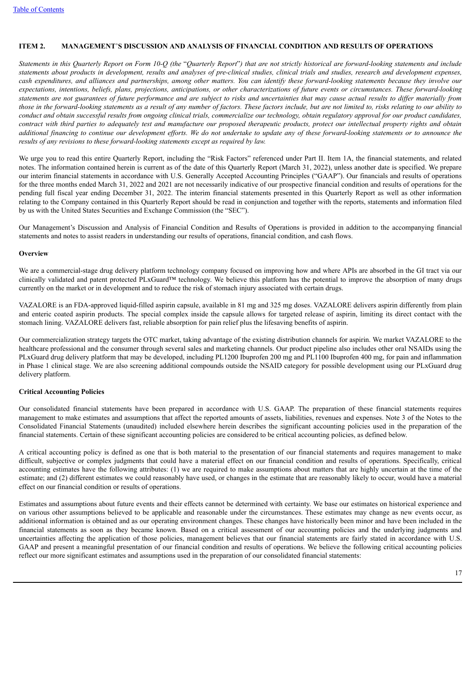## <span id="page-17-0"></span>**ITEM 2. MANAGEMENT**'**S DISCUSSION AND ANALYSIS OF FINANCIAL CONDITION AND RESULTS OF OPERATIONS**

Statements in this Quarterly Report on Form 10-Q (the "Quarterly Report") that are not strictly historical are forward-looking statements and include statements about products in development, results and analyses of pre-clinical studies, clinical trials and studies, research and development expenses, cash expenditures, and alliances and partnerships, among other matters. You can identify these forward-looking statements because they involve our expectations, intentions, beliefs, plans, projections, anticipations, or other characterizations of future events or circumstances. These forward-looking statements are not guarantees of future performance and are subject to risks and uncertainties that may cause actual results to differ materially from those in the forward-looking statements as a result of any number of factors. These factors include, but are not limited to, risks relating to our ability to conduct and obtain successful results from ongoing clinical trials, commercialize our technology, obtain regulatory approval for our product candidates, contract with third parties to adequately test and manufacture our proposed therapeutic products, protect our intellectual property rights and obtain additional financing to continue our development efforts. We do not undertake to update any of these forward-looking statements or to announce the *results of any revisions to these forward-looking statements except as required by law.*

We urge you to read this entire Quarterly Report, including the "Risk Factors" referenced under Part II. Item 1A, the financial statements, and related notes. The information contained herein is current as of the date of this Quarterly Report (March 31, 2022), unless another date is specified. We prepare our interim financial statements in accordance with U.S. Generally Accepted Accounting Principles ("GAAP"). Our financials and results of operations for the three months ended March 31, 2022 and 2021 are not necessarily indicative of our prospective financial condition and results of operations for the pending full fiscal year ending December 31, 2022. The interim financial statements presented in this Quarterly Report as well as other information relating to the Company contained in this Quarterly Report should be read in conjunction and together with the reports, statements and information filed by us with the United States Securities and Exchange Commission (the "SEC").

Our Management's Discussion and Analysis of Financial Condition and Results of Operations is provided in addition to the accompanying financial statements and notes to assist readers in understanding our results of operations, financial condition, and cash flows.

#### **Overview**

We are a commercial-stage drug delivery platform technology company focused on improving how and where APIs are absorbed in the GI tract via our clinically validated and patent protected PLxGuard™ technology. We believe this platform has the potential to improve the absorption of many drugs currently on the market or in development and to reduce the risk of stomach injury associated with certain drugs.

VAZALORE is an FDA-approved liquid-filled aspirin capsule, available in 81 mg and 325 mg doses. VAZALORE delivers aspirin differently from plain and enteric coated aspirin products. The special complex inside the capsule allows for targeted release of aspirin, limiting its direct contact with the stomach lining. VAZALORE delivers fast, reliable absorption for pain relief plus the lifesaving benefits of aspirin.

Our commercialization strategy targets the OTC market, taking advantage of the existing distribution channels for aspirin. We market VAZALORE to the healthcare professional and the consumer through several sales and marketing channels. Our product pipeline also includes other oral NSAIDs using the PLxGuard drug delivery platform that may be developed, including PL1200 Ibuprofen 200 mg and PL1100 Ibuprofen 400 mg, for pain and inflammation in Phase 1 clinical stage. We are also screening additional compounds outside the NSAID category for possible development using our PLxGuard drug delivery platform.

## **Critical Accounting Policies**

Our consolidated financial statements have been prepared in accordance with U.S. GAAP. The preparation of these financial statements requires management to make estimates and assumptions that affect the reported amounts of assets, liabilities, revenues and expenses. Note 3 of the Notes to the Consolidated Financial Statements (unaudited) included elsewhere herein describes the significant accounting policies used in the preparation of the financial statements. Certain of these significant accounting policies are considered to be critical accounting policies, as defined below.

A critical accounting policy is defined as one that is both material to the presentation of our financial statements and requires management to make difficult, subjective or complex judgments that could have a material effect on our financial condition and results of operations. Specifically, critical accounting estimates have the following attributes: (1) we are required to make assumptions about matters that are highly uncertain at the time of the estimate; and (2) different estimates we could reasonably have used, or changes in the estimate that are reasonably likely to occur, would have a material effect on our financial condition or results of operations.

Estimates and assumptions about future events and their effects cannot be determined with certainty. We base our estimates on historical experience and on various other assumptions believed to be applicable and reasonable under the circumstances. These estimates may change as new events occur, as additional information is obtained and as our operating environment changes. These changes have historically been minor and have been included in the financial statements as soon as they became known. Based on a critical assessment of our accounting policies and the underlying judgments and uncertainties affecting the application of those policies, management believes that our financial statements are fairly stated in accordance with U.S. GAAP and present a meaningful presentation of our financial condition and results of operations. We believe the following critical accounting policies reflect our more significant estimates and assumptions used in the preparation of our consolidated financial statements: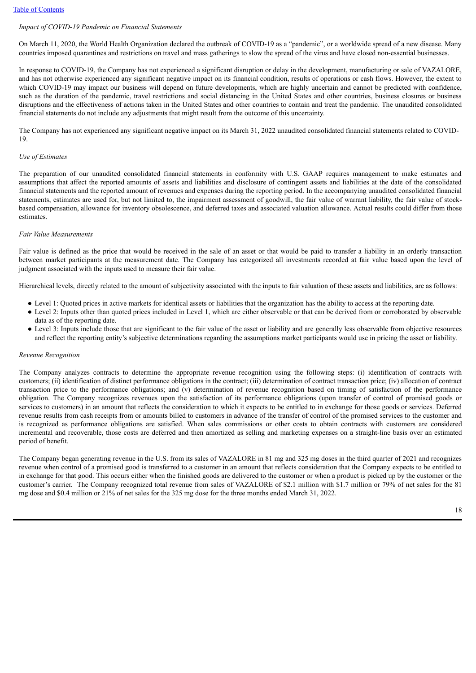## *Impact of COVID-19 Pandemic on Financial Statements*

On March 11, 2020, the World Health Organization declared the outbreak of COVID-19 as a "pandemic", or a worldwide spread of a new disease. Many countries imposed quarantines and restrictions on travel and mass gatherings to slow the spread of the virus and have closed non-essential businesses.

In response to COVID-19, the Company has not experienced a significant disruption or delay in the development, manufacturing or sale of VAZALORE, and has not otherwise experienced any significant negative impact on its financial condition, results of operations or cash flows. However, the extent to which COVID-19 may impact our business will depend on future developments, which are highly uncertain and cannot be predicted with confidence, such as the duration of the pandemic, travel restrictions and social distancing in the United States and other countries, business closures or business disruptions and the effectiveness of actions taken in the United States and other countries to contain and treat the pandemic. The unaudited consolidated financial statements do not include any adjustments that might result from the outcome of this uncertainty.

The Company has not experienced any significant negative impact on its March 31, 2022 unaudited consolidated financial statements related to COVID-19.

#### *Use of Estimates*

The preparation of our unaudited consolidated financial statements in conformity with U.S. GAAP requires management to make estimates and assumptions that affect the reported amounts of assets and liabilities and disclosure of contingent assets and liabilities at the date of the consolidated financial statements and the reported amount of revenues and expenses during the reporting period. In the accompanying unaudited consolidated financial statements, estimates are used for, but not limited to, the impairment assessment of goodwill, the fair value of warrant liability, the fair value of stockbased compensation, allowance for inventory obsolescence, and deferred taxes and associated valuation allowance. Actual results could differ from those estimates.

#### *Fair Value Measurements*

Fair value is defined as the price that would be received in the sale of an asset or that would be paid to transfer a liability in an orderly transaction between market participants at the measurement date. The Company has categorized all investments recorded at fair value based upon the level of judgment associated with the inputs used to measure their fair value.

Hierarchical levels, directly related to the amount of subjectivity associated with the inputs to fair valuation of these assets and liabilities, are as follows:

- Level 1: Quoted prices in active markets for identical assets or liabilities that the organization has the ability to access at the reporting date.
- Level 2: Inputs other than quoted prices included in Level 1, which are either observable or that can be derived from or corroborated by observable data as of the reporting date.
- Level 3: Inputs include those that are significant to the fair value of the asset or liability and are generally less observable from objective resources and reflect the reporting entity's subjective determinations regarding the assumptions market participants would use in pricing the asset or liability.

#### *Revenue Recognition*

The Company analyzes contracts to determine the appropriate revenue recognition using the following steps: (i) identification of contracts with customers; (ii) identification of distinct performance obligations in the contract; (iii) determination of contract transaction price; (iv) allocation of contract transaction price to the performance obligations; and (v) determination of revenue recognition based on timing of satisfaction of the performance obligation. The Company recognizes revenues upon the satisfaction of its performance obligations (upon transfer of control of promised goods or services to customers) in an amount that reflects the consideration to which it expects to be entitled to in exchange for those goods or services. Deferred revenue results from cash receipts from or amounts billed to customers in advance of the transfer of control of the promised services to the customer and is recognized as performance obligations are satisfied. When sales commissions or other costs to obtain contracts with customers are considered incremental and recoverable, those costs are deferred and then amortized as selling and marketing expenses on a straight-line basis over an estimated period of benefit.

The Company began generating revenue in the U.S. from its sales of VAZALORE in 81 mg and 325 mg doses in the third quarter of 2021 and recognizes revenue when control of a promised good is transferred to a customer in an amount that reflects consideration that the Company expects to be entitled to in exchange for that good. This occurs either when the finished goods are delivered to the customer or when a product is picked up by the customer or the customer's carrier. The Company recognized total revenue from sales of VAZALORE of \$2.1 million with \$1.7 million or 79% of net sales for the 81 mg dose and \$0.4 million or 21% of net sales for the 325 mg dose for the three months ended March 31, 2022.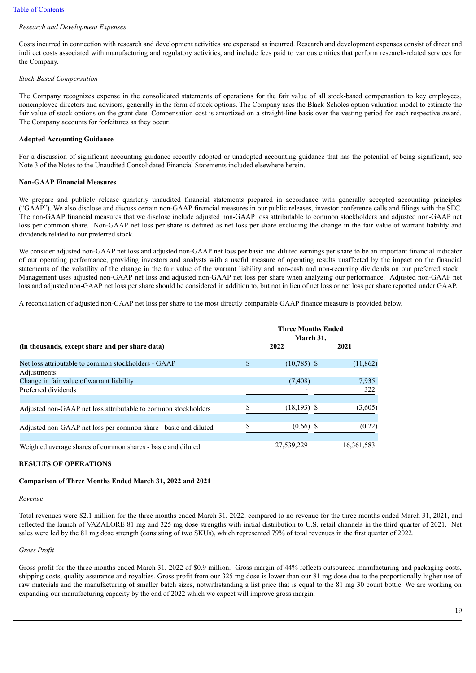# *Research and Development Expenses*

Costs incurred in connection with research and development activities are expensed as incurred. Research and development expenses consist of direct and indirect costs associated with manufacturing and regulatory activities, and include fees paid to various entities that perform research-related services for the Company.

## *Stock-Based Compensation*

The Company recognizes expense in the consolidated statements of operations for the fair value of all stock-based compensation to key employees, nonemployee directors and advisors, generally in the form of stock options. The Company uses the Black-Scholes option valuation model to estimate the fair value of stock options on the grant date. Compensation cost is amortized on a straight-line basis over the vesting period for each respective award. The Company accounts for forfeitures as they occur.

## **Adopted Accounting Guidance**

For a discussion of significant accounting guidance recently adopted or unadopted accounting guidance that has the potential of being significant, see Note 3 of the Notes to the Unaudited Consolidated Financial Statements included elsewhere herein.

## **Non-GAAP Financial Measures**

We prepare and publicly release quarterly unaudited financial statements prepared in accordance with generally accepted accounting principles ("GAAP"). We also disclose and discuss certain non-GAAP financial measures in our public releases, investor conference calls and filings with the SEC. The non-GAAP financial measures that we disclose include adjusted non-GAAP loss attributable to common stockholders and adjusted non-GAAP net loss per common share. Non-GAAP net loss per share is defined as net loss per share excluding the change in the fair value of warrant liability and dividends related to our preferred stock.

We consider adjusted non-GAAP net loss and adjusted non-GAAP net loss per basic and diluted earnings per share to be an important financial indicator of our operating performance, providing investors and analysts with a useful measure of operating results unaffected by the impact on the financial statements of the volatility of the change in the fair value of the warrant liability and non-cash and non-recurring dividends on our preferred stock. Management uses adjusted non-GAAP net loss and adjusted non-GAAP net loss per share when analyzing our performance. Adjusted non-GAAP net loss and adjusted non-GAAP net loss per share should be considered in addition to, but not in lieu of net loss or net loss per share reported under GAAP.

A reconciliation of adjusted non-GAAP net loss per share to the most directly comparable GAAP finance measure is provided below.

|                                                                     | <b>Three Months Ended</b><br>March 31, |                |  |              |  |  |
|---------------------------------------------------------------------|----------------------------------------|----------------|--|--------------|--|--|
| (in thousands, except share and per share data)                     |                                        | 2022           |  | 2021         |  |  |
| Net loss attributable to common stockholders - GAAP<br>Adjustments: | \$                                     | $(10,785)$ \$  |  | (11, 862)    |  |  |
| Change in fair value of warrant liability<br>Preferred dividends    |                                        | (7, 408)       |  | 7,935<br>322 |  |  |
| Adjusted non-GAAP net loss attributable to common stockholders      |                                        | $(18, 193)$ \$ |  | (3,605)      |  |  |
| Adjusted non-GAAP net loss per common share - basic and diluted     |                                        | $(0.66)$ \$    |  | (0.22)       |  |  |
| Weighted average shares of common shares - basic and diluted        |                                        | 27,539,229     |  | 16, 361, 583 |  |  |

## **RESULTS OF OPERATIONS**

# **Comparison of Three Months Ended March 31, 2022 and 2021**

## *Revenue*

Total revenues were \$2.1 million for the three months ended March 31, 2022, compared to no revenue for the three months ended March 31, 2021, and reflected the launch of VAZALORE 81 mg and 325 mg dose strengths with initial distribution to U.S. retail channels in the third quarter of 2021. Net sales were led by the 81 mg dose strength (consisting of two SKUs), which represented 79% of total revenues in the first quarter of 2022.

## *Gross Profit*

Gross profit for the three months ended March 31, 2022 of \$0.9 million. Gross margin of 44% reflects outsourced manufacturing and packaging costs, shipping costs, quality assurance and royalties. Gross profit from our 325 mg dose is lower than our 81 mg dose due to the proportionally higher use of raw materials and the manufacturing of smaller batch sizes, notwithstanding a list price that is equal to the 81 mg 30 count bottle. We are working on expanding our manufacturing capacity by the end of 2022 which we expect will improve gross margin.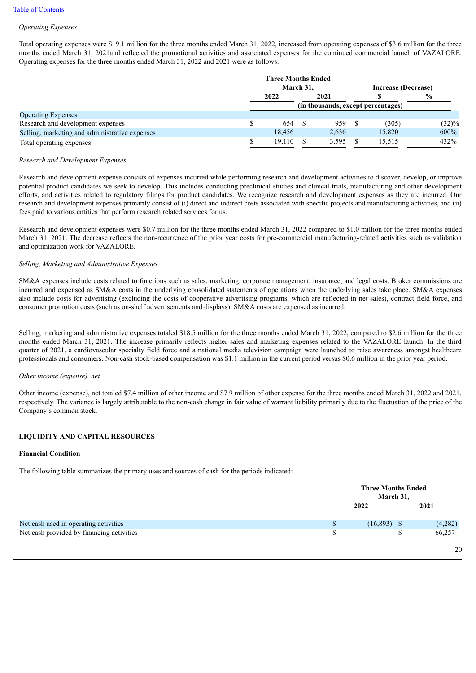# *Operating Expenses*

Total operating expenses were \$19.1 million for the three months ended March 31, 2022, increased from operating expenses of \$3.6 million for the three months ended March 31, 2021and reflected the promotional activities and associated expenses for the continued commercial launch of VAZALORE. Operating expenses for the three months ended March 31, 2022 and 2021 were as follows:

|                                                | <b>Three Months Ended</b>          |  |       |  |                     |               |  |
|------------------------------------------------|------------------------------------|--|-------|--|---------------------|---------------|--|
|                                                | March 31.                          |  |       |  | Increase (Decrease) |               |  |
|                                                | 2022                               |  | 2021  |  |                     | $\frac{6}{9}$ |  |
|                                                | (in thousands, except percentages) |  |       |  |                     |               |  |
| <b>Operating Expenses</b>                      |                                    |  |       |  |                     |               |  |
| Research and development expenses              | 654                                |  | 959   |  | (305)               | (32)%         |  |
| Selling, marketing and administrative expenses | 18.456                             |  | 2,636 |  | 15,820              | 600%          |  |
| Total operating expenses                       | 19.110                             |  | 3,595 |  | 15,515              | 432%          |  |

#### *Research and Development Expenses*

Research and development expense consists of expenses incurred while performing research and development activities to discover, develop, or improve potential product candidates we seek to develop. This includes conducting preclinical studies and clinical trials, manufacturing and other development efforts, and activities related to regulatory filings for product candidates. We recognize research and development expenses as they are incurred. Our research and development expenses primarily consist of (i) direct and indirect costs associated with specific projects and manufacturing activities, and (ii) fees paid to various entities that perform research related services for us.

Research and development expenses were \$0.7 million for the three months ended March 31, 2022 compared to \$1.0 million for the three months ended March 31, 2021. The decrease reflects the non-recurrence of the prior year costs for pre-commercial manufacturing-related activities such as validation and optimization work for VAZALORE.

## *Selling, Marketing and Administrative Expenses*

SM&A expenses include costs related to functions such as sales, marketing, corporate management, insurance, and legal costs. Broker commissions are incurred and expensed as SM&A costs in the underlying consolidated statements of operations when the underlying sales take place. SM&A expenses also include costs for advertising (excluding the costs of cooperative advertising programs, which are reflected in net sales), contract field force, and consumer promotion costs (such as on-shelf advertisements and displays). SM&A costs are expensed as incurred.

Selling, marketing and administrative expenses totaled \$18.5 million for the three months ended March 31, 2022, compared to \$2.6 million for the three months ended March 31, 2021. The increase primarily reflects higher sales and marketing expenses related to the VAZALORE launch. In the third quarter of 2021, a cardiovascular specialty field force and a national media television campaign were launched to raise awareness amongst healthcare professionals and consumers. Non-cash stock-based compensation was \$1.1 million in the current period versus \$0.6 million in the prior year period.

## *Other income (expense), net*

Other income (expense), net totaled \$7.4 million of other income and \$7.9 million of other expense for the three months ended March 31, 2022 and 2021, respectively. The variance is largely attributable to the non-cash change in fair value of warrant liability primarily due to the fluctuation of the price of the Company's common stock.

## **LIQUIDITY AND CAPITAL RESOURCES**

## **Financial Condition**

The following table summarizes the primary uses and sources of cash for the periods indicated:

|                                           |    | <b>Three Months Ended</b><br>March 31, |      |         |  |  |
|-------------------------------------------|----|----------------------------------------|------|---------|--|--|
|                                           |    | 2022                                   | 2021 |         |  |  |
| Net cash used in operating activities     | S. | $(16,893)$ \$                          |      | (4,282) |  |  |
| Net cash provided by financing activities | S  | $\sim$                                 | -S   | 66,257  |  |  |
|                                           |    |                                        |      | 20      |  |  |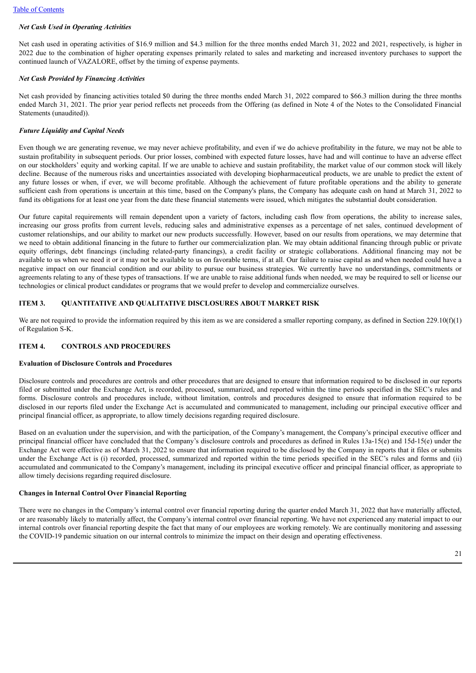# *Net Cash Used in Operating Activities*

Net cash used in operating activities of \$16.9 million and \$4.3 million for the three months ended March 31, 2022 and 2021, respectively, is higher in 2022 due to the combination of higher operating expenses primarily related to sales and marketing and increased inventory purchases to support the continued launch of VAZALORE, offset by the timing of expense payments.

## *Net Cash Provided by Financing Activities*

Net cash provided by financing activities totaled \$0 during the three months ended March 31, 2022 compared to \$66.3 million during the three months ended March 31, 2021. The prior year period reflects net proceeds from the Offering (as defined in Note 4 of the Notes to the Consolidated Financial Statements (unaudited)).

## *Future Liquidity and Capital Needs*

Even though we are generating revenue, we may never achieve profitability, and even if we do achieve profitability in the future, we may not be able to sustain profitability in subsequent periods. Our prior losses, combined with expected future losses, have had and will continue to have an adverse effect on our stockholders' equity and working capital. If we are unable to achieve and sustain profitability, the market value of our common stock will likely decline. Because of the numerous risks and uncertainties associated with developing biopharmaceutical products, we are unable to predict the extent of any future losses or when, if ever, we will become profitable. Although the achievement of future profitable operations and the ability to generate sufficient cash from operations is uncertain at this time, based on the Company's plans, the Company has adequate cash on hand at March 31, 2022 to fund its obligations for at least one year from the date these financial statements were issued, which mitigates the substantial doubt consideration.

Our future capital requirements will remain dependent upon a variety of factors, including cash flow from operations, the ability to increase sales, increasing our gross profits from current levels, reducing sales and administrative expenses as a percentage of net sales, continued development of customer relationships, and our ability to market our new products successfully. However, based on our results from operations, we may determine that we need to obtain additional financing in the future to further our commercialization plan. We may obtain additional financing through public or private equity offerings, debt financings (including related-party financings), a credit facility or strategic collaborations. Additional financing may not be available to us when we need it or it may not be available to us on favorable terms, if at all. Our failure to raise capital as and when needed could have a negative impact on our financial condition and our ability to pursue our business strategies. We currently have no understandings, commitments or agreements relating to any of these types of transactions. If we are unable to raise additional funds when needed, we may be required to sell or license our technologies or clinical product candidates or programs that we would prefer to develop and commercialize ourselves.

## <span id="page-21-0"></span>**ITEM 3. QUANTITATIVE AND QUALITATIVE DISCLOSURES ABOUT MARKET RISK**

We are not required to provide the information required by this item as we are considered a smaller reporting company, as defined in Section 229.10(f)(1) of Regulation S-K.

## <span id="page-21-1"></span>**ITEM 4. CONTROLS AND PROCEDURES**

## **Evaluation of Disclosure Controls and Procedures**

Disclosure controls and procedures are controls and other procedures that are designed to ensure that information required to be disclosed in our reports filed or submitted under the Exchange Act, is recorded, processed, summarized, and reported within the time periods specified in the SEC's rules and forms. Disclosure controls and procedures include, without limitation, controls and procedures designed to ensure that information required to be disclosed in our reports filed under the Exchange Act is accumulated and communicated to management, including our principal executive officer and principal financial officer, as appropriate, to allow timely decisions regarding required disclosure.

Based on an evaluation under the supervision, and with the participation, of the Company's management, the Company's principal executive officer and principal financial officer have concluded that the Company's disclosure controls and procedures as defined in Rules 13a-15(e) and 15d-15(e) under the Exchange Act were effective as of March 31, 2022 to ensure that information required to be disclosed by the Company in reports that it files or submits under the Exchange Act is (i) recorded, processed, summarized and reported within the time periods specified in the SEC's rules and forms and (ii) accumulated and communicated to the Company's management, including its principal executive officer and principal financial officer, as appropriate to allow timely decisions regarding required disclosure.

## **Changes in Internal Control Over Financial Reporting**

There were no changes in the Company's internal control over financial reporting during the quarter ended March 31, 2022 that have materially affected, or are reasonably likely to materially affect, the Company's internal control over financial reporting. We have not experienced any material impact to our internal controls over financial reporting despite the fact that many of our employees are working remotely. We are continually monitoring and assessing the COVID-19 pandemic situation on our internal controls to minimize the impact on their design and operating effectiveness.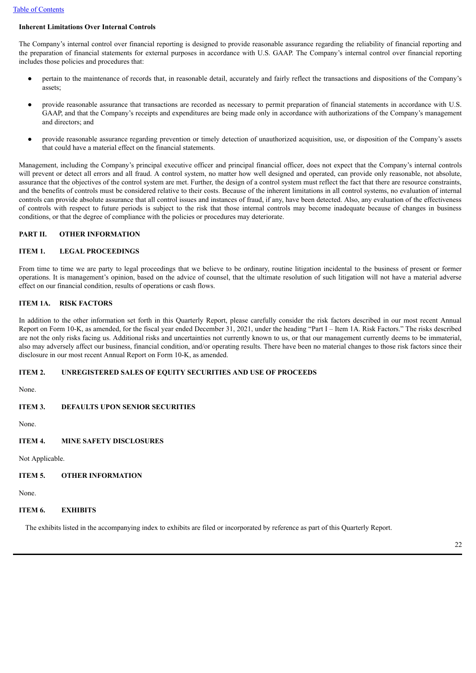# **Inherent Limitations Over Internal Controls**

The Company's internal control over financial reporting is designed to provide reasonable assurance regarding the reliability of financial reporting and the preparation of financial statements for external purposes in accordance with U.S. GAAP. The Company's internal control over financial reporting includes those policies and procedures that:

- pertain to the maintenance of records that, in reasonable detail, accurately and fairly reflect the transactions and dispositions of the Company's assets;
- provide reasonable assurance that transactions are recorded as necessary to permit preparation of financial statements in accordance with U.S. GAAP, and that the Company's receipts and expenditures are being made only in accordance with authorizations of the Company's management and directors; and
- provide reasonable assurance regarding prevention or timely detection of unauthorized acquisition, use, or disposition of the Company's assets that could have a material effect on the financial statements.

Management, including the Company's principal executive officer and principal financial officer, does not expect that the Company's internal controls will prevent or detect all errors and all fraud. A control system, no matter how well designed and operated, can provide only reasonable, not absolute, assurance that the objectives of the control system are met. Further, the design of a control system must reflect the fact that there are resource constraints, and the benefits of controls must be considered relative to their costs. Because of the inherent limitations in all control systems, no evaluation of internal controls can provide absolute assurance that all control issues and instances of fraud, if any, have been detected. Also, any evaluation of the effectiveness of controls with respect to future periods is subject to the risk that those internal controls may become inadequate because of changes in business conditions, or that the degree of compliance with the policies or procedures may deteriorate.

## <span id="page-22-0"></span>**PART II. OTHER INFORMATION**

## <span id="page-22-1"></span>**ITEM 1. LEGAL PROCEEDINGS**

From time to time we are party to legal proceedings that we believe to be ordinary, routine litigation incidental to the business of present or former operations. It is management's opinion, based on the advice of counsel, that the ultimate resolution of such litigation will not have a material adverse effect on our financial condition, results of operations or cash flows.

## <span id="page-22-2"></span>**ITEM 1A. RISK FACTORS**

In addition to the other information set forth in this Quarterly Report, please carefully consider the risk factors described in our most recent Annual Report on Form 10-K, as amended, for the fiscal year ended December 31, 2021, under the heading "Part I – Item 1A. Risk Factors." The risks described are not the only risks facing us. Additional risks and uncertainties not currently known to us, or that our management currently deems to be immaterial, also may adversely affect our business, financial condition, and/or operating results. There have been no material changes to those risk factors since their disclosure in our most recent Annual Report on Form 10-K, as amended.

## <span id="page-22-3"></span>**ITEM 2. UNREGISTERED SALES OF EQUITY SECURITIES AND USE OF PROCEEDS**

None.

## <span id="page-22-4"></span>**ITEM 3. DEFAULTS UPON SENIOR SECURITIES**

None.

## <span id="page-22-5"></span>**ITEM 4. MINE SAFETY DISCLOSURES**

Not Applicable.

## <span id="page-22-6"></span>**ITEM 5. OTHER INFORMATION**

None.

## <span id="page-22-7"></span>**ITEM 6. EXHIBITS**

The exhibits listed in the accompanying index to exhibits are filed or incorporated by reference as part of this Quarterly Report.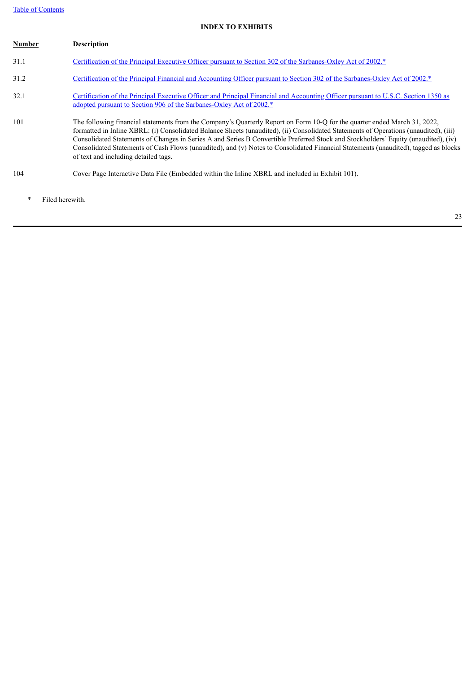# **INDEX TO EXHIBITS**

| <b>Number</b>   | <b>Description</b>                                                                                                                                                                                                                                                                                                                                                                                                                                                                                                                                                                     |
|-----------------|----------------------------------------------------------------------------------------------------------------------------------------------------------------------------------------------------------------------------------------------------------------------------------------------------------------------------------------------------------------------------------------------------------------------------------------------------------------------------------------------------------------------------------------------------------------------------------------|
| 31.1            | Certification of the Principal Executive Officer pursuant to Section 302 of the Sarbanes-Oxley Act of 2002.*                                                                                                                                                                                                                                                                                                                                                                                                                                                                           |
| 31.2            | Certification of the Principal Financial and Accounting Officer pursuant to Section 302 of the Sarbanes-Oxley Act of 2002.*                                                                                                                                                                                                                                                                                                                                                                                                                                                            |
| 32.1            | Certification of the Principal Executive Officer and Principal Financial and Accounting Officer pursuant to U.S.C. Section 1350 as<br>adopted pursuant to Section 906 of the Sarbanes-Oxley Act of 2002.*                                                                                                                                                                                                                                                                                                                                                                              |
| 101             | The following financial statements from the Company's Quarterly Report on Form 10-Q for the quarter ended March 31, 2022,<br>formatted in Inline XBRL: (i) Consolidated Balance Sheets (unaudited), (ii) Consolidated Statements of Operations (unaudited), (iii)<br>Consolidated Statements of Changes in Series A and Series B Convertible Preferred Stock and Stockholders' Equity (unaudited), (iv)<br>Consolidated Statements of Cash Flows (unaudited), and (v) Notes to Consolidated Financial Statements (unaudited), tagged as blocks<br>of text and including detailed tags. |
| 104             | Cover Page Interactive Data File (Embedded within the Inline XBRL and included in Exhibit 101).                                                                                                                                                                                                                                                                                                                                                                                                                                                                                        |
| Filed herewith. |                                                                                                                                                                                                                                                                                                                                                                                                                                                                                                                                                                                        |

23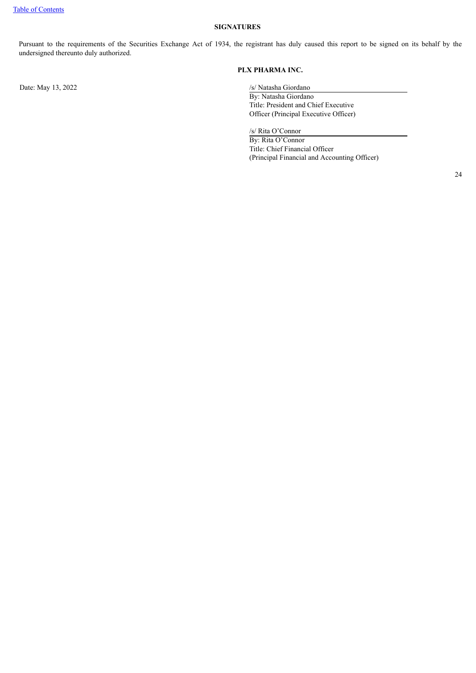## **SIGNATURES**

<span id="page-24-0"></span>Pursuant to the requirements of the Securities Exchange Act of 1934, the registrant has duly caused this report to be signed on its behalf by the undersigned thereunto duly authorized.

# **PLX PHARMA INC.**

Date: May 13, 2022 /s/ Natasha Giordano

By: Natasha Giordano Title: President and Chief Executive Officer (Principal Executive Officer)

/s/ Rita O'Connor

By: Rita O'Connor Title: Chief Financial Officer (Principal Financial and Accounting Officer)

24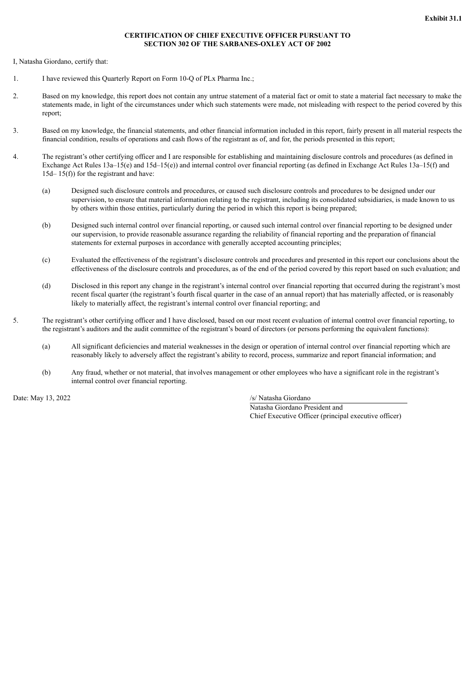## **CERTIFICATION OF CHIEF EXECUTIVE OFFICER PURSUANT TO SECTION 302 OF THE SARBANES-OXLEY ACT OF 2002**

<span id="page-25-0"></span>I, Natasha Giordano, certify that:

- 1. I have reviewed this Quarterly Report on Form 10-Q of PLx Pharma Inc.;
- 2. Based on my knowledge, this report does not contain any untrue statement of a material fact or omit to state a material fact necessary to make the statements made, in light of the circumstances under which such statements were made, not misleading with respect to the period covered by this report;
- 3. Based on my knowledge, the financial statements, and other financial information included in this report, fairly present in all material respects the financial condition, results of operations and cash flows of the registrant as of, and for, the periods presented in this report;
- 4. The registrant's other certifying officer and I are responsible for establishing and maintaining disclosure controls and procedures (as defined in Exchange Act Rules 13a–15(e) and 15d–15(e)) and internal control over financial reporting (as defined in Exchange Act Rules 13a–15(f) and 15d– 15(f)) for the registrant and have:
	- (a) Designed such disclosure controls and procedures, or caused such disclosure controls and procedures to be designed under our supervision, to ensure that material information relating to the registrant, including its consolidated subsidiaries, is made known to us by others within those entities, particularly during the period in which this report is being prepared;
	- (b) Designed such internal control over financial reporting, or caused such internal control over financial reporting to be designed under our supervision, to provide reasonable assurance regarding the reliability of financial reporting and the preparation of financial statements for external purposes in accordance with generally accepted accounting principles;
	- (c) Evaluated the effectiveness of the registrant's disclosure controls and procedures and presented in this report our conclusions about the effectiveness of the disclosure controls and procedures, as of the end of the period covered by this report based on such evaluation; and
	- (d) Disclosed in this report any change in the registrant's internal control over financial reporting that occurred during the registrant's most recent fiscal quarter (the registrant's fourth fiscal quarter in the case of an annual report) that has materially affected, or is reasonably likely to materially affect, the registrant's internal control over financial reporting; and
- 5. The registrant's other certifying officer and I have disclosed, based on our most recent evaluation of internal control over financial reporting, to the registrant's auditors and the audit committee of the registrant's board of directors (or persons performing the equivalent functions):
	- (a) All significant deficiencies and material weaknesses in the design or operation of internal control over financial reporting which are reasonably likely to adversely affect the registrant's ability to record, process, summarize and report financial information; and
	- (b) Any fraud, whether or not material, that involves management or other employees who have a significant role in the registrant's internal control over financial reporting.

Date: May 13, 2022 /s/ Natasha Giordano

Natasha Giordano President and Chief Executive Officer (principal executive officer)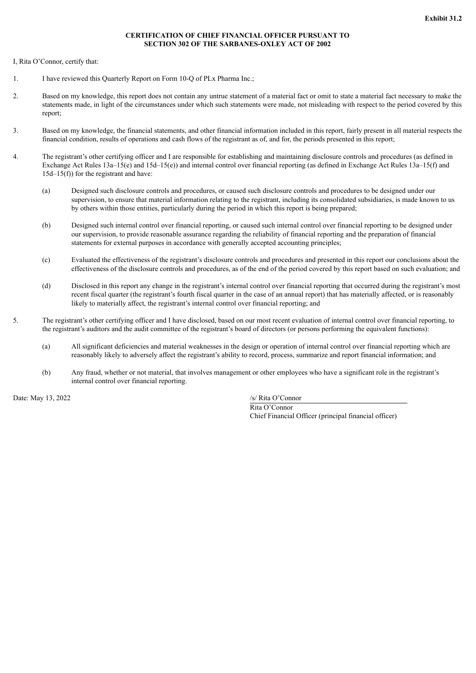## **CERTIFICATION OF CHIEF FINANCIAL OFFICER PURSUANT TO SECTION 302 OF THE SARBANES-OXLEY ACT OF 2002**

<span id="page-26-0"></span>I, Rita O'Connor, certify that:

- 1. I have reviewed this Quarterly Report on Form 10-Q of PLx Pharma Inc.;
- 2. Based on my knowledge, this report does not contain any untrue statement of a material fact or omit to state a material fact necessary to make the statements made, in light of the circumstances under which such statements were made, not misleading with respect to the period covered by this report;
- 3. Based on my knowledge, the financial statements, and other financial information included in this report, fairly present in all material respects the financial condition, results of operations and cash flows of the registrant as of, and for, the periods presented in this report;
- 4. The registrant's other certifying officer and I are responsible for establishing and maintaining disclosure controls and procedures (as defined in Exchange Act Rules 13a–15(e) and 15d–15(e)) and internal control over financial reporting (as defined in Exchange Act Rules 13a–15(f) and 15d–15(f)) for the registrant and have:
	- (a) Designed such disclosure controls and procedures, or caused such disclosure controls and procedures to be designed under our supervision, to ensure that material information relating to the registrant, including its consolidated subsidiaries, is made known to us by others within those entities, particularly during the period in which this report is being prepared;
	- (b) Designed such internal control over financial reporting, or caused such internal control over financial reporting to be designed under our supervision, to provide reasonable assurance regarding the reliability of financial reporting and the preparation of financial statements for external purposes in accordance with generally accepted accounting principles;
	- (c) Evaluated the effectiveness of the registrant's disclosure controls and procedures and presented in this report our conclusions about the effectiveness of the disclosure controls and procedures, as of the end of the period covered by this report based on such evaluation; and
	- (d) Disclosed in this report any change in the registrant's internal control over financial reporting that occurred during the registrant's most recent fiscal quarter (the registrant's fourth fiscal quarter in the case of an annual report) that has materially affected, or is reasonably likely to materially affect, the registrant's internal control over financial reporting; and
- 5. The registrant's other certifying officer and I have disclosed, based on our most recent evaluation of internal control over financial reporting, to the registrant's auditors and the audit committee of the registrant's board of directors (or persons performing the equivalent functions):
	- (a) All significant deficiencies and material weaknesses in the design or operation of internal control over financial reporting which are reasonably likely to adversely affect the registrant's ability to record, process, summarize and report financial information; and
	- (b) Any fraud, whether or not material, that involves management or other employees who have a significant role in the registrant's internal control over financial reporting.

Date: May 13, 2022 /s/ Rita O'Connor

Rita O'Connor Chief Financial Officer (principal financial officer)